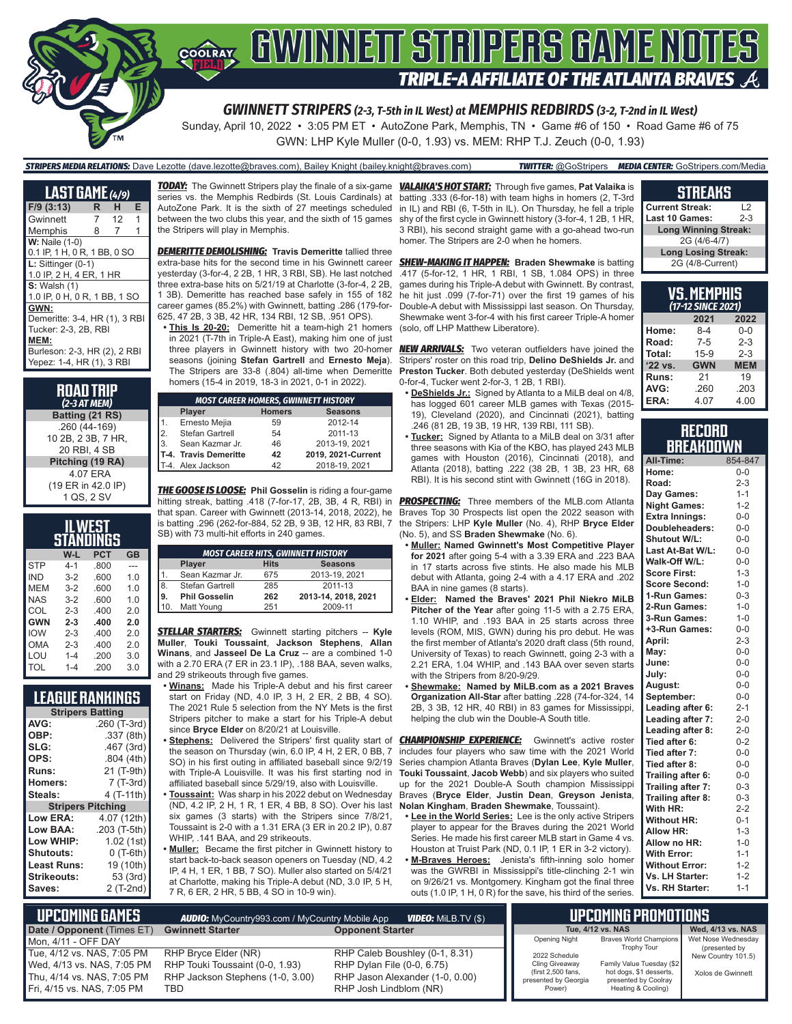

Sunday, April 10, 2022 • 3:05 PM ET • AutoZone Park, Memphis, TN • Game #6 of 150 • Road Game #6 of 75

GWN: LHP Kyle Muller (0-0, 1.93) vs. MEM: RHP T.J. Zeuch (0-0, 1.93)

#### *STRIPERS MEDIA RELATIONS:* Dave Lezotte (dave.lezotte@braves.com), Bailey Knight (bailey.knight@braves.com) *TWITTER:* @GoStripers *MEDIA CENTER:* GoStripers.com/Media

| <b>LAST GAME</b> (4/9)        |   |    |   |
|-------------------------------|---|----|---|
| $F/9$ (3:13)                  | R | н  | Е |
| Gwinnett                      | 7 | 12 | 1 |
| Memphis                       | 8 | 7  | 1 |
| <b>W:</b> Naile (1-0)         |   |    |   |
| 0.1 IP, 1 H, 0 R, 1 BB, 0 SO  |   |    |   |
| $L:$ Sittinger $(0-1)$        |   |    |   |
| 1.0 IP, 2 H, 4 ER, 1 HR       |   |    |   |
| <b>S:</b> Walsh (1)           |   |    |   |
| 1.0 IP, 0 H, 0 R, 1 BB, 1 SO  |   |    |   |
| GWN:                          |   |    |   |
| Demeritte: 3-4, HR (1), 3 RBI |   |    |   |
| Tucker: 2-3, 2B, RBI          |   |    |   |
| MEM:                          |   |    |   |
| Burleson: 2-3, HR (2), 2 RBI  |   |    |   |
| Yepez: 1-4, HR (1), 3 RBI     |   |    |   |

**ROAD TRIP** *(2-3 AT MEM)* **Batting (21 RS)** .260 (44-169) 10 2B, 2 3B, 7 HR, 20 RBI, 4 SB **Pitching (19 RA)** 4.07 ERA (19 ER in 42.0 IP) 1 QS, 2 SV

| WES <sup>.</sup><br>STANDINGS |         |            |                |  |
|-------------------------------|---------|------------|----------------|--|
|                               | W-L     | <b>PCT</b> | GB             |  |
| <b>STP</b>                    | $4 - 1$ | .800       |                |  |
| IND                           | $3-2$   | .600       | 1.0            |  |
| <b>MEM</b>                    | $3-2$   | .600       | 1.0            |  |
| <b>NAS</b>                    | $3-2$   | .600       | 1 <sub>0</sub> |  |
| COL                           | $2 - 3$ | .400       | 2.0            |  |
| <b>GWN</b>                    | $2 - 3$ | .400       | 2.0            |  |
| IOW                           | $2 - 3$ | .400       | 20             |  |
| OMA                           | $2 - 3$ | .400       | 2.0            |  |
| LOU                           | $1 - 4$ | .200       | 3.0            |  |
| TOL                           | $1 - 4$ | 200        | 3.0            |  |

### **LEAGUE RANKINGS**

| <b>Stripers Batting</b>  |                |  |
|--------------------------|----------------|--|
| AVG:                     | .260 (T-3rd)   |  |
| OBP:                     | .337 (8th)     |  |
| SLG:                     | .467 (3rd)     |  |
| OPS:                     | .804(4th)      |  |
| Runs:                    | 21 (T-9th)     |  |
| <b>Homers:</b>           | 7 (T-3rd)      |  |
| Steals:                  | 4 (T-11th)     |  |
| <b>Stripers Pitching</b> |                |  |
| Low ERA:                 | 4.07 (12th)    |  |
| Low BAA:                 | .203 (T-5th)   |  |
| Low WHIP:                | 1.02 (1st)     |  |
| <b>Shutouts:</b>         | $0($ T-6th $)$ |  |
| <b>Least Runs:</b>       | 19 (10th)      |  |
| Strikeouts:              | 53 (3rd)       |  |
| Saves:                   | 2 (T-2nd)      |  |

*TODAY:* The Gwinnett Stripers play the finale of a six-game *VALAIKA'S HOT START:* Through five games, **Pat Valaika** is series vs. the Memphis Redbirds (St. Louis Cardinals) at AutoZone Park. It is the sixth of 27 meetings scheduled between the two clubs this year, and the sixth of 15 games the Stripers will play in Memphis.

*DEMERITTE DEMOLISHING:* **Travis Demeritte** tallied three extra-base hits for the second time in his Gwinnett career yesterday (3-for-4, 2 2B, 1 HR, 3 RBI, SB). He last notched three extra-base hits on 5/21/19 at Charlotte (3-for-4, 2 2B, 1 3B). Demeritte has reached base safely in 155 of 182 career games (85.2%) with Gwinnett, batting .286 (179-for-625, 47 2B, 3 3B, 42 HR, 134 RBI, 12 SB, .951 OPS).

**• This Is 20-20:** Demeritte hit a team-high 21 homers in 2021 (T-7th in Triple-A East), making him one of just three players in Gwinnett history with two 20-homer seasons (joining **Stefan Gartrell** and **Ernesto Meja**). The Stripers are 33-8 (.804) all-time when Demeritte homers (15-4 in 2019, 18-3 in 2021, 0-1 in 2022).

|     | <b>MOST CAREER HOMERS, GWINNETT HISTORY</b> |    |                    |  |
|-----|---------------------------------------------|----|--------------------|--|
|     | <b>Homers</b><br><b>Seasons</b><br>Player   |    |                    |  |
|     | Ernesto Mejia                               | 59 | 2012-14            |  |
| 2.  | Stefan Gartrell                             | 54 | 2011-13            |  |
| l3. | Sean Kazmar Jr.                             | 46 | 2013-19, 2021      |  |
|     | T-4. Travis Demeritte                       | 42 | 2019, 2021-Current |  |
|     | T-4. Alex Jackson                           | 42 | 2018-19, 2021      |  |

*THE GOOSE IS LOOSE:* **Phil Gosselin** is riding a four-game hitting streak, batting .418 (7-for-17, 2B, 3B, 4 R, RBI) in *PROSPECTING:* Three members of the MLB.com Atlanta that span. Career with Gwinnett (2013-14, 2018, 2022), he is batting .296 (262-for-884, 52 2B, 9 3B, 12 HR, 83 RBI, 7 SB) with 73 multi-hit efforts in 240 games.

| <b>MOST CAREER HITS, GWINNETT HISTORY</b>      |                      |     |                     |
|------------------------------------------------|----------------------|-----|---------------------|
| <b>Seasons</b><br><b>Hits</b><br><b>Player</b> |                      |     |                     |
|                                                | Sean Kazmar Jr.      | 675 | 2013-19, 2021       |
| 18                                             | Stefan Gartrell      | 285 | 2011-13             |
| l9.                                            | <b>Phil Gosselin</b> | 262 | 2013-14, 2018, 2021 |
| 10                                             | Matt Young           | 251 | 2009-11             |

*STELLAR STARTERS:* Gwinnett starting pitchers -- **Kyle Muller**, **Touki Toussaint**, **Jackson Stephens**, **Allan Winans**, and **Jasseel De La Cruz** -- are a combined 1-0 with a 2.70 ERA (7 ER in 23.1 IP), .188 BAA, seven walks, and 29 strikeouts through five games.

- **• Winans:** Made his Triple-A debut and his first career start on Friday (ND, 4.0 IP, 3 H, 2 ER, 2 BB, 4 SO). The 2021 Rule 5 selection from the NY Mets is the first Stripers pitcher to make a start for his Triple-A debut since **Bryce Elder** on 8/20/21 at Louisville.
- **• Stephens:** Delivered the Stripers' first quality start of the season on Thursday (win, 6.0 IP, 4 H, 2 ER, 0 BB, 7 SO) in his first outing in affiliated baseball since 9/2/19 with Triple-A Louisville. It was his first starting nod in affiliated baseball since 5/29/19, also with Louisville.
- **• Toussaint:** Was sharp in his 2022 debut on Wednesday (ND, 4.2 IP, 2 H, 1 R, 1 ER, 4 BB, 8 SO). Over his last six games (3 starts) with the Stripers since 7/8/21, Toussaint is 2-0 with a 1.31 ERA (3 ER in 20.2 IP), 0.87 WHIP, .141 BAA, and 29 strikeouts.
- **• Muller:** Became the first pitcher in Gwinnett history to start back-to-back season openers on Tuesday (ND, 4.2 IP, 4 H, 1 ER, 1 BB, 7 SO). Muller also started on 5/4/21 at Charlotte, making his Triple-A debut (ND, 3.0 IP, 5 H, 7 R, 6 ER, 2 HR, 5 BB, 4 SO in 10-9 win).

batting .333 (6-for-18) with team highs in homers (2, T-3rd in IL) and RBI (6, T-5th in IL). On Thursday, he fell a triple shy of the first cycle in Gwinnett history (3-for-4, 1 2B, 1 HR, 3 RBI), his second straight game with a go-ahead two-run homer. The Stripers are 2-0 when he homers.

*SHEW-MAKING IT HAPPEN:* **Braden Shewmake** is batting .417 (5-for-12, 1 HR, 1 RBI, 1 SB, 1.084 OPS) in three games during his Triple-A debut with Gwinnett. By contrast, he hit just .099 (7-for-71) over the first 19 games of his Double-A debut with Mississippi last season. On Thursday, Shewmake went 3-for-4 with his first career Triple-A homer (solo, off LHP Matthew Liberatore).

**NEW ARRIVALS:** Two veteran outfielders have joined the Stripers' roster on this road trip, **Delino DeShields Jr.** and **Preston Tucker**. Both debuted yesterday (DeShields went 0-for-4, Tucker went 2-for-3, 1 2B, 1 RBI).

- **• DeShields Jr.:** Signed by Atlanta to a MiLB deal on 4/8, has logged 601 career MLB games with Texas (2015- 19), Cleveland (2020), and Cincinnati (2021), batting .246 (81 2B, 19 3B, 19 HR, 139 RBI, 111 SB).
- **• Tucker:** Signed by Atlanta to a MiLB deal on 3/31 after three seasons with Kia of the KBO, has played 243 MLB games with Houston (2016), Cincinnati (2018), and Atlanta (2018), batting .222 (38 2B, 1 3B, 23 HR, 68 RBI). It is his second stint with Gwinnett (16G in 2018).

Braves Top 30 Prospects list open the 2022 season with the Stripers: LHP **Kyle Muller** (No. 4), RHP **Bryce Elder** (No. 5), and SS **Braden Shewmake** (No. 6).

- **• Muller: Named Gwinnett's Most Competitive Player for 2021** after going 5-4 with a 3.39 ERA and .223 BAA in 17 starts across five stints. He also made his MLB debut with Atlanta, going 2-4 with a 4.17 ERA and .202 BAA in nine games (8 starts).
- **• Elder: Named the Braves' 2021 Phil Niekro MiLB Pitcher of the Year** after going 11-5 with a 2.75 ERA, 1.10 WHIP, and .193 BAA in 25 starts across three levels (ROM, MIS, GWN) during his pro debut. He was the first member of Atlanta's 2020 draft class (5th round, University of Texas) to reach Gwinnett, going 2-3 with a 2.21 ERA, 1.04 WHIP, and .143 BAA over seven starts with the Stripers from 8/20-9/29.
- **• Shewmake: Named by MiLB.com as a 2021 Braves Organization All-Star** after batting .228 (74-for-324, 14 2B, 3 3B, 12 HR, 40 RBI) in 83 games for Mississippi, helping the club win the Double-A South title.

**CHAMPIONSHIP EXPERIENCE:** Gwinnett's active roster includes four players who saw time with the 2021 World Series champion Atlanta Braves (**Dylan Lee**, **Kyle Muller**, **Touki Toussaint**, **Jacob Webb**) and six players who suited up for the 2021 Double-A South champion Mississippi Braves (**Bryce Elder**, **Justin Dean**, **Greyson Jenista**, **Nolan Kingham**, **Braden Shewmake**, Toussaint).

- **• Lee in the World Series:** Lee is the only active Stripers player to appear for the Braves during the 2021 World Series. He made his first career MLB start in Game 4 vs. Houston at Truist Park (ND, 0.1 IP, 1 ER in 3-2 victory).
- **• M-Braves Heroes:** Jenista's fifth-inning solo homer was the GWRBI in Mississippi's title-clinching 2-1 win on 9/26/21 vs. Montgomery. Kingham got the final three outs (1.0 IP, 1 H, 0 R) for the save, his third of the series.

| <b>STREAK!</b> |  |
|----------------|--|
|                |  |

| <b>Current Streak:</b><br>12     |  |  |
|----------------------------------|--|--|
| <b>Last 10 Games:</b><br>$2 - 3$ |  |  |
| <b>Long Winning Streak:</b>      |  |  |
| 2G (4/6-4/7)                     |  |  |
| <b>Long Losing Streak:</b>       |  |  |
| 2G (4/8-Current)                 |  |  |

| VS.MEMPHIS<br>(17-12 SINCE 2021)    |              |         |  |  |
|-------------------------------------|--------------|---------|--|--|
|                                     | 2021<br>2022 |         |  |  |
| Home:                               | $8-4$        | $0 - 0$ |  |  |
| Road:                               | $7 - 5$      | $2 - 3$ |  |  |
| Total:                              | $15-9$       | $2 - 3$ |  |  |
| '22 vs.<br><b>GWN</b><br><b>MEM</b> |              |         |  |  |
| Runs:                               | 21           | 19      |  |  |
| AVG:                                | .260         | .203    |  |  |
| ERA:                                | 4.07         | 4.00    |  |  |

#### **RECORD RRFAKNOWN**

| All-Time:             | 854-847 |
|-----------------------|---------|
| Home:                 | $0 - 0$ |
| Road:                 | $2 - 3$ |
| Day Games:            | $1 - 1$ |
| <b>Night Games:</b>   | $1 - 2$ |
| <b>Extra Innings:</b> | $0 - 0$ |
| Doubleheaders:        | $0-0$   |
| <b>Shutout W/L:</b>   | $0 - 0$ |
| Last At-Bat W/L:      | $0-0$   |
| Walk-Off W/L:         | $0-0$   |
| <b>Score First:</b>   | $1 - 3$ |
| <b>Score Second:</b>  | $1 - 0$ |
| 1-Run Games:          | $0 - 3$ |
| 2-Run Games:          | $1 - 0$ |
| 3-Run Games:          | $1 - 0$ |
| +3-Run Games:         | $0 - 0$ |
| April:                | $2 - 3$ |
| May:                  | $0-0$   |
| June:                 | $0-0$   |
| July:                 | $0-0$   |
| August:               | $0-0$   |
| September:            | $0 - 0$ |
| Leading after 6:      | $2 - 1$ |
| Leading after 7:      | $2 - 0$ |
| Leading after 8:      | $2 - 0$ |
| Tied after 6:         | $0 - 2$ |
| Tied after 7:         | $0 - 0$ |
| Tied after 8:         | $0 - 0$ |
| Trailing after 6:     | $0-0$   |
| Trailing after 7:     | $0 - 3$ |
| Trailing after 8:     | $0 - 3$ |
| With HR:              | $2 - 2$ |
| <b>Without HR:</b>    | $0 - 1$ |
| <b>Allow HR:</b>      | $1 - 3$ |
| Allow no HR:          | $1 - 0$ |
| <b>With Error:</b>    | $1 - 1$ |
| <b>Without Error:</b> | $1 - 2$ |
| Vs. LH Starter:       | $1 - 2$ |
| Vs. RH Starter:       | $1 - 1$ |

| <b>UPCOMING GAMES</b><br><b>AUDIO:</b> MyCountry993.com / MyCountry Mobile App<br><b>VIDEO:</b> MILB.TV (\$) |                                  |                                 | I UPCOMING PROMOTIONS "                    |                                                 |                                     |
|--------------------------------------------------------------------------------------------------------------|----------------------------------|---------------------------------|--------------------------------------------|-------------------------------------------------|-------------------------------------|
| Date / Opponent (Times ET)                                                                                   | <b>Gwinnett Starter</b>          | <b>Opponent Starter</b>         |                                            | Tue, 4/12 vs. NAS                               | Wed. 4/13 vs. NAS                   |
| Mon. 4/11 - OFF DAY                                                                                          |                                  |                                 | Opening Night                              | Braves World Champions<br><b>Trophy Tour</b>    | Wet Nose Wednesdav                  |
| Tue, 4/12 vs. NAS, 7:05 PM                                                                                   | RHP Bryce Elder (NR)             | RHP Caleb Boushley (0-1, 8.31)  | 2022 Schedule                              |                                                 | (presented by<br>New Country 101.5) |
| Wed. 4/13 vs. NAS. 7:05 PM                                                                                   | RHP Touki Toussaint (0-0, 1.93)  | RHP Dylan File (0-0, 6.75)      | Cling Giveaway                             | Family Value Tuesday (\$2                       |                                     |
| Thu, 4/14 vs. NAS, 7:05 PM                                                                                   | RHP Jackson Stephens (1-0, 3.00) | RHP Jason Alexander (1-0, 0.00) | (first 2,500 fans,<br>presented by Georgia | hot dogs, \$1 desserts,<br>presented by Coolray | Xolos de Gwinnett                   |
| Fri. 4/15 vs. NAS. 7:05 PM                                                                                   | TBD                              | RHP Josh Lindblom (NR)          | Power)                                     | Heating & Cooling)                              |                                     |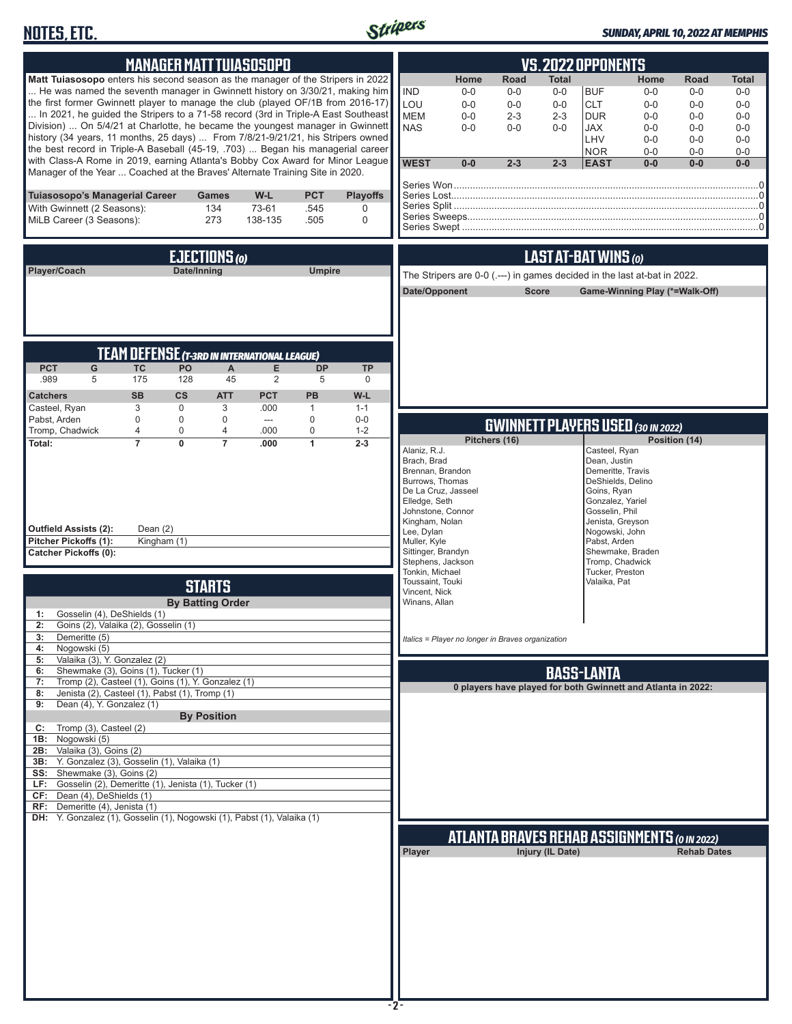## **NOTES, ETC.**



### *SUNDAY, APRIL 10, 2022 AT MEMPHIS*

| <b>MANAGER MATT TUIASOSOPO</b>                                                                                                                                                                                                                                                                                                                                                                                                                                                                                                                                                                                                                                                                                                                                                                                               | VS.2022 OPPONENTS                                                                                                                                                                                                                                                                                                                                                                                                                                                                                                                                                      |
|------------------------------------------------------------------------------------------------------------------------------------------------------------------------------------------------------------------------------------------------------------------------------------------------------------------------------------------------------------------------------------------------------------------------------------------------------------------------------------------------------------------------------------------------------------------------------------------------------------------------------------------------------------------------------------------------------------------------------------------------------------------------------------------------------------------------------|------------------------------------------------------------------------------------------------------------------------------------------------------------------------------------------------------------------------------------------------------------------------------------------------------------------------------------------------------------------------------------------------------------------------------------------------------------------------------------------------------------------------------------------------------------------------|
| Matt Tuiasosopo enters his second season as the manager of the Stripers in 2022<br>He was named the seventh manager in Gwinnett history on 3/30/21, making him<br>the first former Gwinnett player to manage the club (played OF/1B from 2016-17)<br>In 2021, he guided the Stripers to a 71-58 record (3rd in Triple-A East Southeast<br>Division)  On 5/4/21 at Charlotte, he became the youngest manager in Gwinnett<br>history (34 years, 11 months, 25 days)  From 7/8/21-9/21/21, his Stripers owned<br>the best record in Triple-A Baseball (45-19, .703)  Began his managerial career<br>with Class-A Rome in 2019, earning Atlanta's Bobby Cox Award for Minor League<br>Manager of the Year  Coached at the Braves' Alternate Training Site in 2020.                                                               | Road<br>Home<br><b>Total</b><br>Home<br>Road<br>Total<br><b>IND</b><br><b>BUF</b><br>$0-0$<br>$0-0$<br>$0-0$<br>$0-0$<br>$0-0$<br>$0-0$<br>LOU<br><b>CLT</b><br>$0-0$<br>$0-0$<br>$0-0$<br>$0-0$<br>$0-0$<br>$0-0$<br><b>MEM</b><br>$0-0$<br>$2 - 3$<br>$2 - 3$<br><b>DUR</b><br>$0 - 0$<br>$0-0$<br>$0-0$<br><b>NAS</b><br>$0 - 0$<br>$0 - 0$<br>JAX<br>$0 - 0$<br>$0 - 0$<br>$0 - 0$<br>$0-0$<br>LHV<br>$0 - 0$<br>$0-0$<br>$0-0$<br>$0 - 0$<br><b>NOR</b><br>$0-0$<br>$0-0$<br><b>WEST</b><br>$0-0$<br>$2 - 3$<br>$2 - 3$<br><b>EAST</b><br>$0-0$<br>$0-0$<br>$0-0$ |
| Tuiasosopo's Managerial Career<br>W-L<br><b>PCT</b><br><b>Playoffs</b><br>Games<br>73-61<br>With Gwinnett (2 Seasons):<br>134<br>.545<br>0<br>MiLB Career (3 Seasons):<br>273<br>$\mathbf 0$<br>138-135<br>.505                                                                                                                                                                                                                                                                                                                                                                                                                                                                                                                                                                                                              |                                                                                                                                                                                                                                                                                                                                                                                                                                                                                                                                                                        |
| EJECTIONS (0)<br>Player/Coach<br>Date/Inning<br><b>Umpire</b>                                                                                                                                                                                                                                                                                                                                                                                                                                                                                                                                                                                                                                                                                                                                                                | LAST AT-BAT WINS (0)<br>The Stripers are 0-0 (.---) in games decided in the last at-bat in 2022.<br>Date/Opponent<br><b>Score</b><br>Game-Winning Play (*=Walk-Off)                                                                                                                                                                                                                                                                                                                                                                                                    |
| <b>TEAM DEFENSE (T-3RD IN INTERNATIONAL LEAGUE)</b><br><b>PCT</b><br>G<br><b>TC</b><br>PO<br>E<br><b>DP</b><br><b>TP</b><br>$\mathsf{A}$<br>.989<br>175<br>128<br>45<br>5<br>2<br>5<br>$\mathbf 0$<br><b>CS</b><br><b>PCT</b><br>PB<br>W-L<br><b>SB</b><br><b>ATT</b><br><b>Catchers</b><br>3<br>Casteel, Ryan<br>$\mathbf 0$<br>3<br>.000<br>$\mathbf{1}$<br>$1 - 1$                                                                                                                                                                                                                                                                                                                                                                                                                                                        |                                                                                                                                                                                                                                                                                                                                                                                                                                                                                                                                                                        |
| Pabst, Arden<br>$\mathbf 0$<br>$\mathbf 0$<br>0<br>0<br>$0-0$<br>$\hspace{0.05cm} \ldots$<br>Tromp, Chadwick<br>4<br>4<br>$\mathbf 0$<br>0<br>.000<br>$1 - 2$<br>$\overline{7}$<br>$\overline{7}$<br>$\overline{1}$<br>Total:<br>$\mathbf{0}$<br>.000<br>$2 - 3$<br><b>Outfield Assists (2):</b><br>Dean $(2)$<br>Pitcher Pickoffs (1):<br>Kingham (1)<br><b>Catcher Pickoffs (0):</b>                                                                                                                                                                                                                                                                                                                                                                                                                                       | <b>GWINNETT PLAYERS USED (30 IN 2022)</b><br>Pitchers (16)<br>Position (14)<br>Alaniz, R.J.<br>Casteel, Ryan<br>Brach, Brad<br>Dean, Justin<br>Brennan, Brandon<br>Demeritte, Travis<br>Burrows, Thomas<br>DeShields, Delino<br>De La Cruz, Jasseel<br>Goins, Ryan<br>Elledge, Seth<br>Gonzalez, Yariel<br>Johnstone, Connor<br>Gosselin, Phil<br>Kingham, Nolan<br>Jenista, Greyson<br>Lee, Dylan<br>Nogowski, John<br>Muller, Kyle<br>Pabst, Arden<br>Sittinger, Brandyn<br>Shewmake, Braden                                                                         |
| <b>STARTS</b><br><b>By Batting Order</b><br>Gosselin (4), DeShields (1)<br>1:<br>2: Goins (2), Valaika (2), Gosselin (1)<br>Demeritte (5)<br>3:<br>Nogowski (5)<br>4:<br>Valaika (3), Y. Gonzalez (2)<br>5:<br>Shewmake (3), Goins (1), Tucker (1)<br>6:<br>Tromp (2), Casteel (1), Goins (1), Y. Gonzalez (1)<br>7:<br>Jenista (2), Casteel (1), Pabst (1), Tromp (1)<br>8:<br>Dean (4), Y. Gonzalez (1)<br>9:<br><b>By Position</b><br>Tromp (3), Casteel (2)<br>C:<br>Nogowski (5)<br>1B:<br>Valaika (3), Goins (2)<br>2B:<br>Y. Gonzalez (3), Gosselin (1), Valaika (1)<br>3B:<br>SS: Shewmake (3), Goins (2)<br>LF: Gosselin (2), Demeritte (1), Jenista (1), Tucker (1)<br>CF: Dean (4), DeShields (1)<br>Demeritte (4), Jenista (1)<br>RF:<br>DH: Y. Gonzalez (1), Gosselin (1), Nogowski (1), Pabst (1), Valaika (1) | Stephens, Jackson<br>Tromp, Chadwick<br>Tonkin, Michael<br>Tucker, Preston<br>Toussaint, Touki<br>Valaika, Pat<br>Vincent, Nick<br>Winans, Allan<br>Italics = Player no longer in Braves organization<br><b>BASS-LANTA</b><br>0 players have played for both Gwinnett and Atlanta in 2022:<br><b>ATLANTA BRAVES REHAB ASSIGNMENTS (O IN 2022)</b><br>Injury (IL Date)<br><b>Rehab Dates</b><br>Player                                                                                                                                                                  |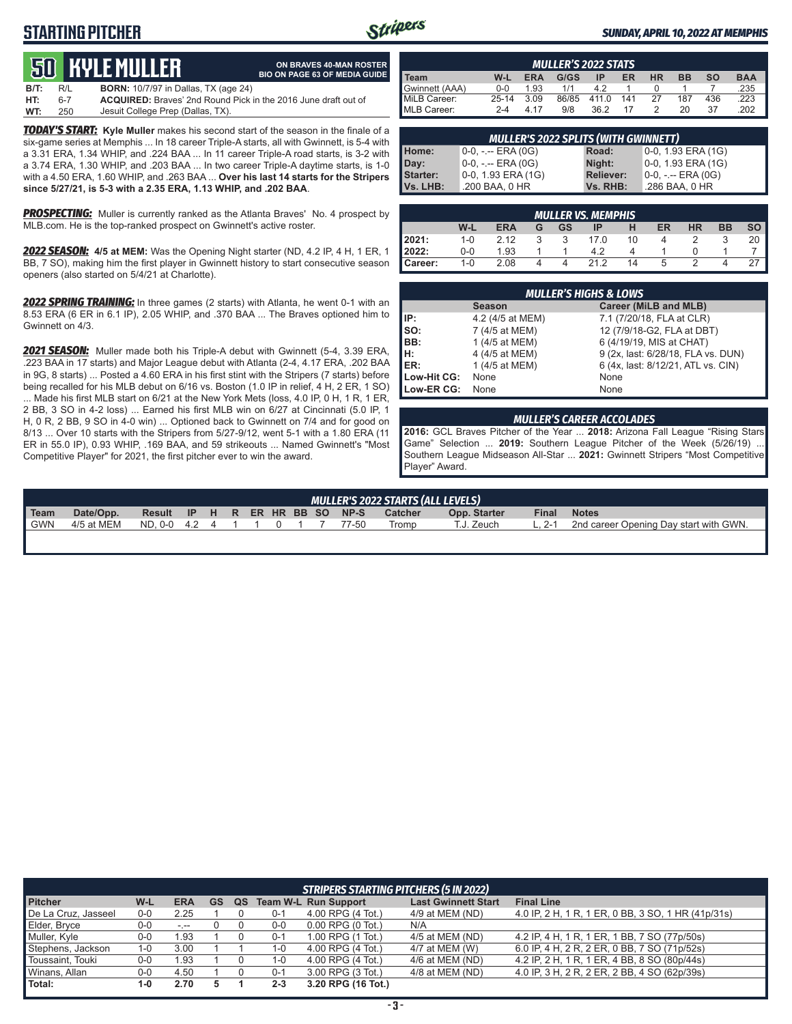## **STARTING PITCHER**



**ON BRAVES 40-MAN ROSTER**

#### *SUNDAY, APRIL 10, 2022 AT MEMPHIS*

# **50****KYLE Muller**

|      |     | <b>JU HIYLLIIULLLII</b>                     | <b>BIO ON PAGE 63 OF MEDIA GUIDE</b>                                  |
|------|-----|---------------------------------------------|-----------------------------------------------------------------------|
| B/T: | R/L | <b>BORN:</b> 10/7/97 in Dallas, TX (age 24) |                                                                       |
| HT:  | հ-7 |                                             | <b>ACQUIRED:</b> Brayes' 2nd Round Pick in the 2016 June draft out of |
| WT:  | 250 | Jesuit College Prep (Dallas, TX).           |                                                                       |

*TODAY'S START:* **Kyle Muller** makes his second start of the season in the finale of a six-game series at Memphis ... In 18 career Triple-A starts, all with Gwinnett, is 5-4 with a 3.31 ERA, 1.34 WHIP, and .224 BAA ... In 11 career Triple-A road starts, is 3-2 with a 3.74 ERA, 1.30 WHIP, and .203 BAA ... In two career Triple-A daytime starts, is 1-0 with a 4.50 ERA, 1.60 WHIP, and .263 BAA ... **Over his last 14 starts for the Stripers since 5/27/21, is 5-3 with a 2.35 ERA, 1.13 WHIP, and .202 BAA**.

**PROSPECTING:** Muller is currently ranked as the Atlanta Braves' No. 4 prospect by MLB.com. He is the top-ranked prospect on Gwinnett's active roster.

*2022 SEASON:* **4/5 at MEM:** Was the Opening Night starter (ND, 4.2 IP, 4 H, 1 ER, 1 BB, 7 SO), making him the first player in Gwinnett history to start consecutive season openers (also started on 5/4/21 at Charlotte).

*2022 SPRING TRAINING:* In three games (2 starts) with Atlanta, he went 0-1 with an 8.53 ERA (6 ER in 6.1 IP), 2.05 WHIP, and .370 BAA ... The Braves optioned him to Gwinnett on 4/3.

*2021 SEASON:* Muller made both his Triple-A debut with Gwinnett (5-4, 3.39 ERA, .223 BAA in 17 starts) and Major League debut with Atlanta (2-4, 4.17 ERA, .202 BAA in 9G, 8 starts) ... Posted a 4.60 ERA in his first stint with the Stripers (7 starts) before being recalled for his MLB debut on 6/16 vs. Boston (1.0 IP in relief, 4 H, 2 ER, 1 SO) ... Made his first MLB start on 6/21 at the New York Mets (loss, 4.0 IP, 0 H, 1 R, 1 ER, 2 BB, 3 SO in 4-2 loss) ... Earned his first MLB win on 6/27 at Cincinnati (5.0 IP, 1 H, 0 R, 2 BB, 9 SO in 4-0 win) ... Optioned back to Gwinnett on 7/4 and for good on 8/13 ... Over 10 starts with the Stripers from 5/27-9/12, went 5-1 with a 1.80 ERA (11 ER in 55.0 IP), 0.93 WHIP, .169 BAA, and 59 strikeouts ... Named Gwinnett's "Most Competitive Player" for 2021, the first pitcher ever to win the award.

|                |           |            | <b>MULLER'S 2022 STATS</b> |       |     |           |           |           |            |
|----------------|-----------|------------|----------------------------|-------|-----|-----------|-----------|-----------|------------|
| <b>Team</b>    | W-L       | <b>ERA</b> | G/GS                       | IP    | ER  | <b>HR</b> | <b>BB</b> | <b>SO</b> | <b>BAA</b> |
| Gwinnett (AAA) | $0 - 0$   | 1.93       | 1/1                        | 42    |     |           |           |           | .235       |
| MiLB Career:   | $25 - 14$ | 3.09       | 86/85                      | 411.0 | 141 | 27        | 187       | 436       | .223       |
| MLB Career:    | $2 - 4$   | 4 17       | 9/8                        | 36.2  | 17  |           | 20        | 37        | .202       |

| 0-0, 1.93 ERA (1G)<br>$0-0, - -$ ERA $(0G)$<br>Home:<br>Road:            | <b>MULLER'S 2022 SPLITS (WITH GWINNETT)</b> |  |  |  |  |  |  |  |
|--------------------------------------------------------------------------|---------------------------------------------|--|--|--|--|--|--|--|
|                                                                          |                                             |  |  |  |  |  |  |  |
| 0-0, 1.93 ERA (1G)<br>$0-0, - -$ ERA $(0G)$<br>Night:<br>Day:            |                                             |  |  |  |  |  |  |  |
| 0-0, 1.93 ERA (1G)<br>Starter:<br>0-0, -.-- ERA (0G)<br><b>Reliever:</b> |                                             |  |  |  |  |  |  |  |
| .200 BAA, 0 HR<br>.286 BAA, 0 HR<br><b>Vs. LHB:</b><br>Vs. RHB:          |                                             |  |  |  |  |  |  |  |

| <b>MULLER VS. MEMPHIS</b> |         |            |   |    |      |    |    |           |           |           |
|---------------------------|---------|------------|---|----|------|----|----|-----------|-----------|-----------|
|                           | W-L     | <b>ERA</b> | G | GS | IP   | н  | ER | <b>HR</b> | <b>BB</b> | <b>SO</b> |
| 2021:                     | $1 - 0$ | 2.12       | հ |    | 17.0 | 10 |    |           |           | 20        |
| 2022:                     | $0 - 0$ | 1.93       |   |    | 42   |    |    |           |           |           |
| Career:                   | $1 - 0$ | 2.08       |   | Δ  | 21 2 | 14 | 5  |           |           |           |

| <b>MULLER'S HIGHS &amp; LOWS</b> |                  |                                    |  |  |  |  |
|----------------------------------|------------------|------------------------------------|--|--|--|--|
|                                  | <b>Season</b>    | Career (MiLB and MLB)              |  |  |  |  |
| IP:                              | 4.2 (4/5 at MEM) | 7.1 (7/20/18, FLA at CLR)          |  |  |  |  |
| $\vert$ so:                      | 7 (4/5 at MEM)   | 12 (7/9/18-G2, FLA at DBT)         |  |  |  |  |
| IBB:                             | 1 (4/5 at MEM)   | 6 (4/19/19, MIS at CHAT)           |  |  |  |  |
| Iн:                              | 4 (4/5 at MEM)   | 9 (2x, last: 6/28/18, FLA vs. DUN) |  |  |  |  |
| <b>IER:</b>                      | 1 (4/5 at MEM)   | 6 (4x, last: 8/12/21, ATL vs. CIN) |  |  |  |  |
| Low-Hit CG:                      | None             | None                               |  |  |  |  |
| Low-ER CG:                       | None             | None                               |  |  |  |  |

#### *MULLER'S CAREER ACCOLADES*

**2016:** GCL Braves Pitcher of the Year ... **2018:** Arizona Fall League "Rising Stars Game" Selection ... **2019:** Southern League Pitcher of the Week (5/26/19) ... Southern League Midseason All-Star ... **2021:** Gwinnett Stripers "Most Competitive Player" Award.

|                     |            |                                |  |  |  |  | MULLER'S 2022 STARTS (ALL LEVELS) |              |              |                                        |
|---------------------|------------|--------------------------------|--|--|--|--|-----------------------------------|--------------|--------------|----------------------------------------|
| $\blacksquare$ Team | Date/Opp.  | Result IP H R ER HR BB SO NP-S |  |  |  |  | Catcher                           | Opp. Starter | <b>Final</b> | <b>Notes</b>                           |
| I GWN               | 4/5 at MEM | ND. 0-0 4.2 4 1 1 0 1 7 77-50  |  |  |  |  | Tromp                             | T.J. Zeuch   | L. 2-1       | 2nd career Opening Day start with GWN. |
|                     |            |                                |  |  |  |  |                                   |              |              |                                        |

|                     | <b>STRIPERS STARTING PITCHERS (5 IN 2022)</b> |            |    |    |         |                             |                            |                                                    |  |
|---------------------|-----------------------------------------------|------------|----|----|---------|-----------------------------|----------------------------|----------------------------------------------------|--|
| <b>Pitcher</b>      | W-L                                           | <b>ERA</b> | GS | QS |         | <b>Team W-L Run Support</b> | <b>Last Gwinnett Start</b> | <b>Final Line</b>                                  |  |
| De La Cruz, Jasseel | $0 - 0$                                       | 2.25       |    |    | $0 - 1$ | 4.00 RPG (4 Tot.)           | 4/9 at MEM (ND)            | 4.0 IP, 2 H, 1 R, 1 ER, 0 BB, 3 SO, 1 HR (41p/31s) |  |
| Elder, Bryce        | $0-0$                                         | $-1$       |    |    | $0-0$   | $0.00$ RPG $(0)$ Tot.)      | N/A                        |                                                    |  |
| Muller, Kyle        | $0-0$                                         | .93        |    |    | $0 - 1$ | 1.00 RPG (1 Tot.)           | 4/5 at MEM (ND)            | 4.2 IP. 4 H. 1 R. 1 ER. 1 BB. 7 SO (77p/50s)       |  |
| Stephens, Jackson   | 1-0                                           | 3.00       |    |    | 1-0     | 4.00 RPG (4 Tot.)           | 4/7 at MEM (W)             | 6.0 IP, 4 H, 2 R, 2 ER, 0 BB, 7 SO (71p/52s)       |  |
| Toussaint, Touki    | $0-0$                                         | .93        |    |    | 1-0     | 4.00 RPG (4 Tot.)           | 4/6 at MEM (ND)            | 4.2 IP, 2 H, 1 R, 1 ER, 4 BB, 8 SO (80p/44s)       |  |
| Winans, Allan       | $0-0$                                         | 4.50       |    |    | $0 - 1$ | 3.00 RPG (3 Tot.)           | 4/8 at MEM (ND)            | 4.0 IP, 3 H, 2 R, 2 ER, 2 BB, 4 SO (62p/39s)       |  |
| Total:              | 1-0                                           | 2.70       |    |    | $2 - 3$ | 3.20 RPG (16 Tot.)          |                            |                                                    |  |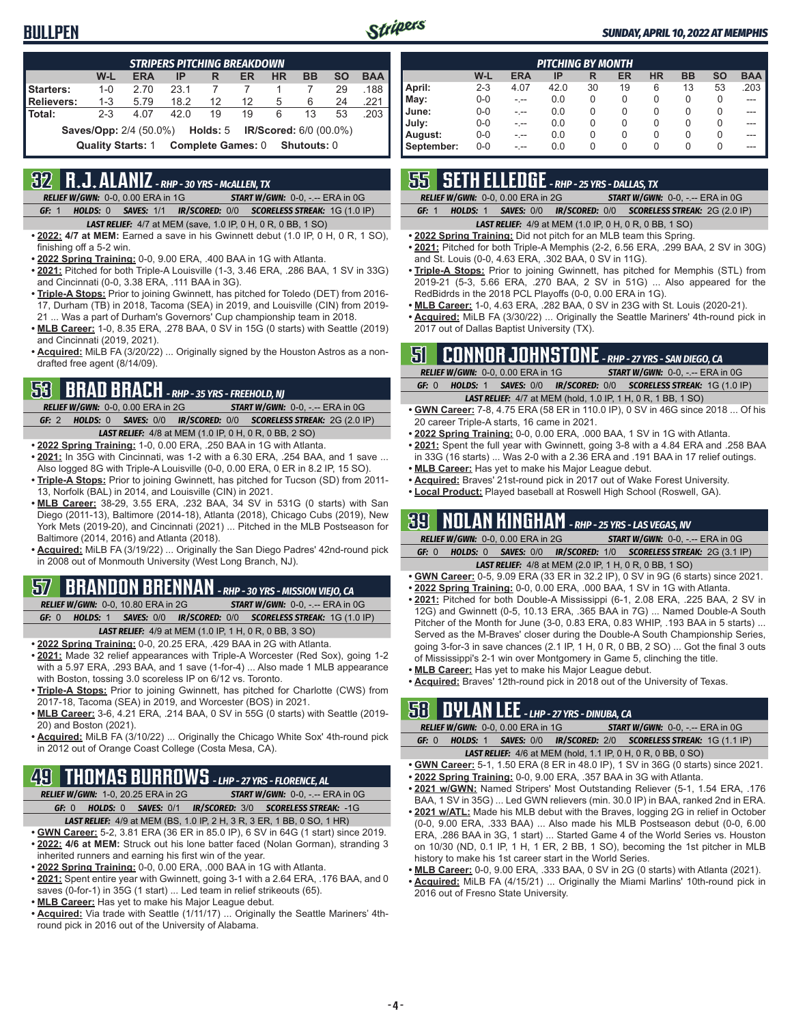

| <b>STRIPERS PITCHING BREAKDOWN</b> |                               |            |      |                               |    |                               |           |           |            |
|------------------------------------|-------------------------------|------------|------|-------------------------------|----|-------------------------------|-----------|-----------|------------|
|                                    | W-L                           | <b>ERA</b> | IP   | R                             | ER | <b>HR</b>                     | <b>BB</b> | <b>SO</b> | <b>BAA</b> |
| Starters:                          | $1 - 0$                       | 2.70       | 23.1 |                               |    |                               |           | 29        | .188       |
| <b>Relievers:</b>                  | $1 - 3$                       | 5.79       | 18.2 | 12 <sup>12</sup>              | 12 | 5                             | 6         | 24        | .221       |
| Total:                             | $2 - 3$                       | 4.07       | 42.0 | 19                            | 19 | 6                             | 13        | 53        | .203       |
|                                    | <b>Saves/Opp: 2/4 (50.0%)</b> |            |      | Holds: 5                      |    | <b>IR/Scored: 6/0 (00.0%)</b> |           |           |            |
|                                    | <b>Quality Starts: 1</b>      |            |      | Complete Games: 0 Shutouts: 0 |    |                               |           |           |            |

## **32 R.J. ALANIZ** *- RHP - 30 YRS - McALLEN, TX*

*RELIEF W/GWN:*0-0, 0.00 ERA in 1G *START W/GWN:*0-0, -.-- ERA in 0G *GF:*1 *HOLDS:*0 *SAVES:*1/1 *IR/SCORED:*0/0 *SCORELESS STREAK:*1G (1.0 IP)

- *LAST RELIEF:*4/7 at MEM (save, 1.0 IP, 0 H, 0 R, 0 BB, 1 SO)
- **• 2022: 4/7 at MEM:** Earned a save in his Gwinnett debut (1.0 IP, 0 H, 0 R, 1 SO), finishing off a 5-2 win.
- **• 2022 Spring Training:** 0-0, 9.00 ERA, .400 BAA in 1G with Atlanta.
- **• 2021:** Pitched for both Triple-A Louisville (1-3, 3.46 ERA, .286 BAA, 1 SV in 33G) and Cincinnati (0-0, 3.38 ERA, .111 BAA in 3G).
- **• Triple-A Stops:** Prior to joining Gwinnett, has pitched for Toledo (DET) from 2016- 17, Durham (TB) in 2018, Tacoma (SEA) in 2019, and Louisville (CIN) from 2019- 21 ... Was a part of Durham's Governors' Cup championship team in 2018.
- **• MLB Career:** 1-0, 8.35 ERA, .278 BAA, 0 SV in 15G (0 starts) with Seattle (2019) and Cincinnati (2019, 2021).
- **• Acquired:** MiLB FA (3/20/22) ... Originally signed by the Houston Astros as a nondrafted free agent (8/14/09).

## **53 BRAD BRACH** *- RHP - 35 YRS - FREEHOLD, NJ*

*RELIEF W/GWN:*0-0, 0.00 ERA in 2G *START W/GWN:*0-0, -.-- ERA in 0G *GF:*2 *HOLDS:*0 *SAVES:*0/0 *IR/SCORED:*0/0 *SCORELESS STREAK:*2G (2.0 IP) *LAST RELIEF:*4/8 at MEM (1.0 IP, 0 H, 0 R, 0 BB, 2 SO)

- **• 2022 Spring Training:** 1-0, 0.00 ERA, .250 BAA in 1G with Atlanta.
- **• 2021:** In 35G with Cincinnati, was 1-2 with a 6.30 ERA, .254 BAA, and 1 save ... Also logged 8G with Triple-A Louisville (0-0, 0.00 ERA, 0 ER in 8.2 IP, 15 SO).
- **• Triple-A Stops:** Prior to joining Gwinnett, has pitched for Tucson (SD) from 2011- 13, Norfolk (BAL) in 2014, and Louisville (CIN) in 2021.
- **• MLB Career:** 38-29, 3.55 ERA, .232 BAA, 34 SV in 531G (0 starts) with San Diego (2011-13), Baltimore (2014-18), Atlanta (2018), Chicago Cubs (2019), New York Mets (2019-20), and Cincinnati (2021) ... Pitched in the MLB Postseason for Baltimore (2014, 2016) and Atlanta (2018).
- **• Acquired:** MiLB FA (3/19/22) ... Originally the San Diego Padres' 42nd-round pick in 2008 out of Monmouth University (West Long Branch, NJ).

## **57 BRANDON BRENNAN** *- RHP - 30 YRS - MISSION VIEJO, CA*

*RELIEF W/GWN:*0-0, 10.80 ERA in 2G *START W/GWN:*0-0, -.-- ERA in 0G *GF:*0 *HOLDS:*1 *SAVES:*0/0 *IR/SCORED:*0/0 *SCORELESS STREAK:*1G (1.0 IP) *LAST RELIEF:*4/9 at MEM (1.0 IP, 1 H, 0 R, 0 BB, 3 SO)

- **• 2022 Spring Training:** 0-0, 20.25 ERA, .429 BAA in 2G with Atlanta.
- **• 2021:** Made 32 relief appearances with Triple-A Worcester (Red Sox), going 1-2 with a 5.97 ERA, .293 BAA, and 1 save (1-for-4) ... Also made 1 MLB appearance with Boston, tossing 3.0 scoreless IP on 6/12 vs. Toronto.
- **• Triple-A Stops:** Prior to joining Gwinnett, has pitched for Charlotte (CWS) from 2017-18, Tacoma (SEA) in 2019, and Worcester (BOS) in 2021.
- **• MLB Career:** 3-6, 4.21 ERA, .214 BAA, 0 SV in 55G (0 starts) with Seattle (2019- 20) and Boston (2021).
- **• Acquired:** MiLB FA (3/10/22) ... Originally the Chicago White Sox' 4th-round pick in 2012 out of Orange Coast College (Costa Mesa, CA).

### **49 THOMAS BURROWS** *- LHP - 27 YRS - FLORENCE, AL*

*RELIEF W/GWN:*1-0, 20.25 ERA in 2G *START W/GWN:*0-0, -.-- ERA in 0G *GF:*0 *HOLDS:*0 *SAVES:*0/1 *IR/SCORED:*3/0 *SCORELESS STREAK:*-1G

- *LAST RELIEF:*4/9 at MEM (BS, 1.0 IP, 2 H, 3 R, 3 ER, 1 BB, 0 SO, 1 HR)
- **• GWN Career:** 5-2, 3.81 ERA (36 ER in 85.0 IP), 6 SV in 64G (1 start) since 2019. **• 2022: 4/6 at MEM:** Struck out his lone batter faced (Nolan Gorman), stranding 3 inherited runners and earning his first win of the year.
- **• 2022 Spring Training:** 0-0, 0.00 ERA, .000 BAA in 1G with Atlanta.
- **• 2021:** Spent entire year with Gwinnett, going 3-1 with a 2.64 ERA, .176 BAA, and 0 saves (0-for-1) in 35G (1 start) ... Led team in relief strikeouts (65).
- **• MLB Career:** Has yet to make his Major League debut.
- **• Acquired:** Via trade with Seattle (1/11/17) ... Originally the Seattle Mariners' 4thround pick in 2016 out of the University of Alabama.

| <b>PITCHING BY MONTH</b> |         |            |      |          |    |           |           |           |            |
|--------------------------|---------|------------|------|----------|----|-----------|-----------|-----------|------------|
|                          | W-L     | <b>ERA</b> | IP   | R        | ER | <b>HR</b> | <b>BB</b> | <b>SO</b> | <b>BAA</b> |
| April:                   | $2 - 3$ | 4.07       | 42.0 | 30       | 19 | 6         | 13        | 53        | .203       |
| May:                     | $0 - 0$ | - --       | 0.0  | $\Omega$ | 0  | 0         | 0         | 0         | ---        |
| June:                    | $0 - 0$ | - --       | 0.0  | 0        | 0  | 0         | 0         | 0         |            |
| July:                    | $0 - 0$ |            | 0.0  | $\Omega$ | 0  | 0         | 0         | 0         |            |
| August:                  | $0 - 0$ |            | 0.0  | $\Omega$ | 0  | 0         | 0         | 0         | ---        |
| September:               | $0 - 0$ | - --       | 0.0  | 0        | 0  | 0         | 0         | 0         | ---        |

## **55 SETH ELLEDGE** *- RHP - 25 YRS - DALLAS, TX*

*RELIEF W/GWN:*0-0, 0.00 ERA in 2G *START W/GWN:*0-0, -.-- ERA in 0G

*GF:*1 *HOLDS:*1 *SAVES:*0/0 *IR/SCORED:*0/0 *SCORELESS STREAK:*2G (2.0 IP)

#### *LAST RELIEF:*4/9 at MEM (1.0 IP, 0 H, 0 R, 0 BB, 1 SO)

- **• 2022 Spring Training:** Did not pitch for an MLB team this Spring.
- **• 2021:** Pitched for both Triple-A Memphis (2-2, 6.56 ERA, .299 BAA, 2 SV in 30G) and St. Louis (0-0, 4.63 ERA, .302 BAA, 0 SV in 11G).
- **• Triple-A Stops:** Prior to joining Gwinnett, has pitched for Memphis (STL) from 2019-21 (5-3, 5.66 ERA, .270 BAA, 2 SV in 51G) ... Also appeared for the RedBidrds in the 2018 PCL Playoffs (0-0, 0.00 ERA in 1G).
- **• MLB Career:** 1-0, 4.63 ERA, .282 BAA, 0 SV in 23G with St. Louis (2020-21).
- **• Acquired:** MiLB FA (3/30/22) ... Originally the Seattle Mariners' 4th-round pick in 2017 out of Dallas Baptist University (TX).

## **51 CONNOR JOHNSTONE** *- RHP - 27 YRS - SAN DIEGO, CA*

|       | <b>RELIEF W/GWN: 0-0, 0.00 ERA in 1G</b> | <b>START W/GWN: <math>0-0</math>, -.-- ERA in OG</b>                  |
|-------|------------------------------------------|-----------------------------------------------------------------------|
| GF: 0 |                                          | HOLDS: 1 SAVES: 0/0 IR/SCORED: 0/0 SCORELESS STREAK: 1G (1.0 IP)      |
|       |                                          | <b>LAST RELIEF:</b> $4/7$ at MEM (hold, 1.0 IP, 1 H, 0 R, 1 BB, 1 SO) |

- **• GWN Career:** 7-8, 4.75 ERA (58 ER in 110.0 IP), 0 SV in 46G since 2018 ... Of his 20 career Triple-A starts, 16 came in 2021.
- **• 2022 Spring Training:** 0-0, 0.00 ERA, .000 BAA, 1 SV in 1G with Atlanta.
- **• 2021:** Spent the full year with Gwinnett, going 3-8 with a 4.84 ERA and .258 BAA in 33G (16 starts) ... Was 2-0 with a 2.36 ERA and .191 BAA in 17 relief outings.
- **• MLB Career:** Has yet to make his Major League debut.
- **• Acquired:** Braves' 21st-round pick in 2017 out of Wake Forest University.
- **• Local Product:** Played baseball at Roswell High School (Roswell, GA).

### **39 NOLAN KINGHAM** *- RHP - 25 YRS - LAS VEGAS, NV*

|       | <b>RELIEF W/GWN: 0-0, 0.00 ERA in 2G</b> |  | <b>START W/GWN: <math>0-0</math>.</b> -.-- ERA in $0G$                  |
|-------|------------------------------------------|--|-------------------------------------------------------------------------|
| GF: 0 |                                          |  | <b>HOLDS: 0 SAVES: 0/0 IR/SCORED: 1/0 SCORELESS STREAK: 2G (3.1 IP)</b> |
|       |                                          |  | $\overline{1}$                                                          |

- *LAST RELIEF:*4/8 at MEM (2.0 IP, 1 H, 0 R, 0 BB, 1 SO) **• GWN Career:** 0-5, 9.09 ERA (33 ER in 32.2 IP), 0 SV in 9G (6 starts) since 2021.
- **• 2022 Spring Training:** 0-0, 0.00 ERA, .000 BAA, 1 SV in 1G with Atlanta.
- **• 2021:** Pitched for both Double-A Mississippi (6-1, 2.08 ERA, .225 BAA, 2 SV in 12G) and Gwinnett (0-5, 10.13 ERA, .365 BAA in 7G) ... Named Double-A South Pitcher of the Month for June (3-0, 0.83 ERA, 0.83 WHIP, .193 BAA in 5 starts) ... Served as the M-Braves' closer during the Double-A South Championship Series, going 3-for-3 in save chances (2.1 IP, 1 H, 0 R, 0 BB, 2 SO) ... Got the final 3 outs of Mississippi's 2-1 win over Montgomery in Game 5, clinching the title.
- **• MLB Career:** Has yet to make his Major League debut.
- **• Acquired:** Braves' 12th-round pick in 2018 out of the University of Texas.

### **58 DYLAN LEE** *- LHP - 27 YRS - DINUBA, CA*

|       | RELIEF W/GWN: 0-0, 0.00 ERA in 1G |  |  | <b>START W/GWN: 0-0, -.-- ERA in 0G.</b>                            |
|-------|-----------------------------------|--|--|---------------------------------------------------------------------|
| GF: 0 |                                   |  |  | HOLDS: 1 SAVES: 0/0 IR/SCORED: 2/0 SCORELESS STREAK: 1G (1.1 IP)    |
|       |                                   |  |  | <b>LAST RELIEF:</b> 4/6 at MEM (hold, 1.1 IP, 0 H, 0 R, 0 BB, 0 SO) |

- **• GWN Career:** 5-1, 1.50 ERA (8 ER in 48.0 IP), 1 SV in 36G (0 starts) since 2021.
- **• 2022 Spring Training:** 0-0, 9.00 ERA, .357 BAA in 3G with Atlanta. **• 2021 w/GWN:** Named Stripers' Most Outstanding Reliever (5-1, 1.54 ERA, .176
- BAA, 1 SV in 35G) ... Led GWN relievers (min. 30.0 IP) in BAA, ranked 2nd in ERA. **• 2021 w/ATL:** Made his MLB debut with the Braves, logging 2G in relief in October (0-0, 9.00 ERA, .333 BAA) ... Also made his MLB Postseason debut (0-0, 6.00 ERA, .286 BAA in 3G, 1 start) ... Started Game 4 of the World Series vs. Houston on 10/30 (ND, 0.1 IP, 1 H, 1 ER, 2 BB, 1 SO), becoming the 1st pitcher in MLB history to make his 1st career start in the World Series.
- **• MLB Career:** 0-0, 9.00 ERA, .333 BAA, 0 SV in 2G (0 starts) with Atlanta (2021).
- **• Acquired:** MiLB FA (4/15/21) ... Originally the Miami Marlins' 10th-round pick in 2016 out of Fresno State University.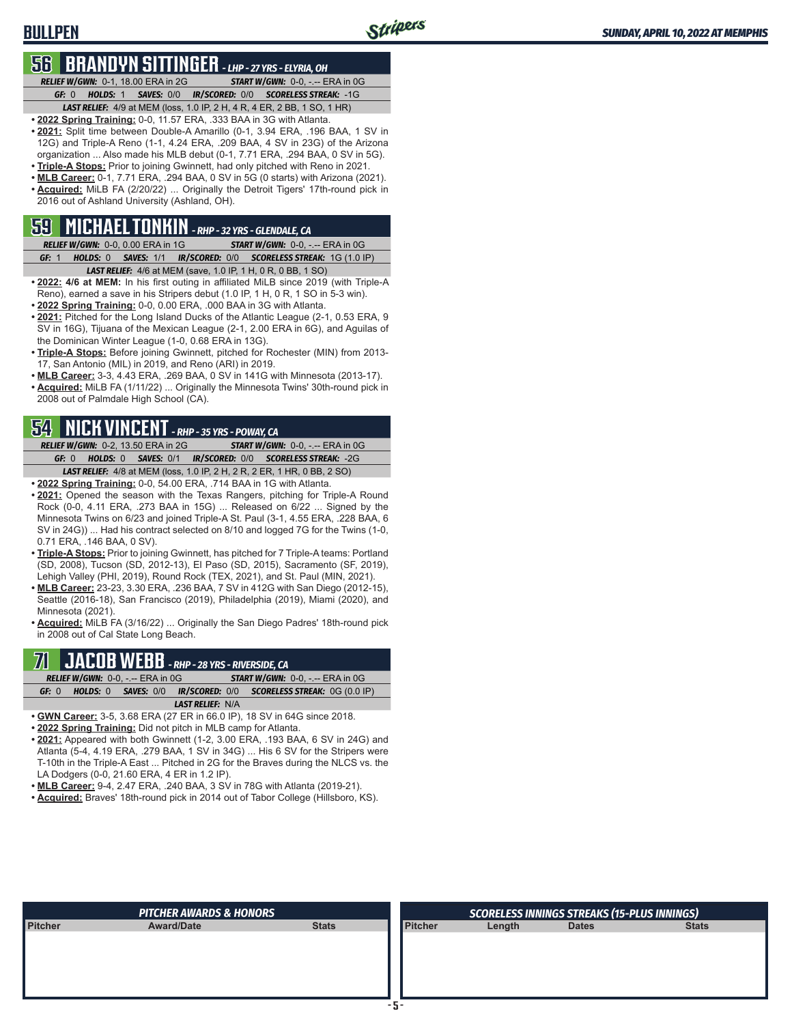### **BULLPEN**

### **56 BRANDYN SITTINGER** *- LHP - 27 YRS - ELYRIA, OH*

*RELIEF W/GWN:*0-1, 18.00 ERA in 2G *START W/GWN:*0-0, -.-- ERA in 0G *GF:*0 *HOLDS:*1 *SAVES:*0/0 *IR/SCORED:*0/0 *SCORELESS STREAK:*-1G *LAST RELIEF:*4/9 at MEM (loss, 1.0 IP, 2 H, 4 R, 4 ER, 2 BB, 1 SO, 1 HR)

- **• 2022 Spring Training:** 0-0, 11.57 ERA, .333 BAA in 3G with Atlanta.
- **• 2021:** Split time between Double-A Amarillo (0-1, 3.94 ERA, .196 BAA, 1 SV in 12G) and Triple-A Reno (1-1, 4.24 ERA, .209 BAA, 4 SV in 23G) of the Arizona organization ... Also made his MLB debut (0-1, 7.71 ERA, .294 BAA, 0 SV in 5G).
- **• Triple-A Stops:** Prior to joining Gwinnett, had only pitched with Reno in 2021.
- **• MLB Career:** 0-1, 7.71 ERA, .294 BAA, 0 SV in 5G (0 starts) with Arizona (2021). **• Acquired:** MiLB FA (2/20/22) ... Originally the Detroit Tigers' 17th-round pick in 2016 out of Ashland University (Ashland, OH).

## **59 MICHAEL TONKIN** *- RHP - 32 YRS - GLENDALE, CA*

- *RELIEF W/GWN:*0-0, 0.00 ERA in 1G *START W/GWN:*0-0, -.-- ERA in 0G *GF:*1 *HOLDS:*0 *SAVES:*1/1 *IR/SCORED:*0/0 *SCORELESS STREAK:*1G (1.0 IP) *LAST RELIEF:*4/6 at MEM (save, 1.0 IP, 1 H, 0 R, 0 BB, 1 SO)
- **• 2022: 4/6 at MEM:** In his first outing in affiliated MiLB since 2019 (with Triple-A Reno), earned a save in his Stripers debut (1.0 IP, 1 H, 0 R, 1 SO in 5-3 win).
- **• 2022 Spring Training:** 0-0, 0.00 ERA, .000 BAA in 3G with Atlanta.
- **• 2021:** Pitched for the Long Island Ducks of the Atlantic League (2-1, 0.53 ERA, 9 SV in 16G), Tijuana of the Mexican League (2-1, 2.00 ERA in 6G), and Aguilas of the Dominican Winter League (1-0, 0.68 ERA in 13G).
- **• Triple-A Stops:** Before joining Gwinnett, pitched for Rochester (MIN) from 2013- 17, San Antonio (MIL) in 2019, and Reno (ARI) in 2019.
- **• MLB Career:** 3-3, 4.43 ERA, .269 BAA, 0 SV in 141G with Minnesota (2013-17).
- **• Acquired:** MiLB FA (1/11/22) ... Originally the Minnesota Twins' 30th-round pick in 2008 out of Palmdale High School (CA).

### **54 NICK VINCENT** *- RHP - 35 YRS - POWAY, CA*

*RELIEF W/GWN:*0-2, 13.50 ERA in 2G *START W/GWN:*0-0, -.-- ERA in 0G *GF:*0 *HOLDS:*0 *SAVES:*0/1 *IR/SCORED:*0/0 *SCORELESS STREAK:*-2G *LAST RELIEF:*4/8 at MEM (loss, 1.0 IP, 2 H, 2 R, 2 ER, 1 HR, 0 BB, 2 SO)

- **• 2022 Spring Training:** 0-0, 54.00 ERA, .714 BAA in 1G with Atlanta.
- **• 2021:** Opened the season with the Texas Rangers, pitching for Triple-A Round Rock (0-0, 4.11 ERA, .273 BAA in 15G) ... Released on 6/22 ... Signed by the Minnesota Twins on 6/23 and joined Triple-A St. Paul (3-1, 4.55 ERA, .228 BAA, 6 SV in 24G)) ... Had his contract selected on 8/10 and logged 7G for the Twins (1-0, 0.71 ERA, .146 BAA, 0 SV).
- **• Triple-A Stops:** Prior to joining Gwinnett, has pitched for 7 Triple-A teams: Portland (SD, 2008), Tucson (SD, 2012-13), El Paso (SD, 2015), Sacramento (SF, 2019), Lehigh Valley (PHI, 2019), Round Rock (TEX, 2021), and St. Paul (MIN, 2021).
- **• MLB Career:** 23-23, 3.30 ERA, .236 BAA, 7 SV in 412G with San Diego (2012-15), Seattle (2016-18), San Francisco (2019), Philadelphia (2019), Miami (2020), and Minnesota (2021).

**• Acquired:** MiLB FA (3/16/22) ... Originally the San Diego Padres' 18th-round pick in 2008 out of Cal State Long Beach.

### **71 JACOB WEBB** *- RHP - 28 YRS - RIVERSIDE, CA*

| <b>RELIEF W/GWN: 0-0, -.-- ERA in 0G.</b> | <b>START W/GWN: <math>0-0</math>.</b> -.-- ERA in $0G$ |
|-------------------------------------------|--------------------------------------------------------|
| <b>SAVES: 0/0</b><br>HOLDS: 0<br>GF: 0    | IR/SCORED: 0/0 SCORELESS STREAK: 0G (0.0 IP)           |
|                                           | <b>LAST RELIEF: N/A</b>                                |

- **• GWN Career:** 3-5, 3.68 ERA (27 ER in 66.0 IP), 18 SV in 64G since 2018.
- **• 2022 Spring Training:** Did not pitch in MLB camp for Atlanta.
- **• 2021:** Appeared with both Gwinnett (1-2, 3.00 ERA, .193 BAA, 6 SV in 24G) and Atlanta (5-4, 4.19 ERA, .279 BAA, 1 SV in 34G) ... His 6 SV for the Stripers were T-10th in the Triple-A East ... Pitched in 2G for the Braves during the NLCS vs. the LA Dodgers (0-0, 21.60 ERA, 4 ER in 1.2 IP).
- **• MLB Career:** 9-4, 2.47 ERA, .240 BAA, 3 SV in 78G with Atlanta (2019-21).
- **• Acquired:** Braves' 18th-round pick in 2014 out of Tabor College (Hillsboro, KS).

|                | <b>PITCHER AWARDS &amp; HONORS</b> |              |                |        | <b>SCORELESS INNINGS STREAKS (15-PLUS INNINGS)</b> |              |
|----------------|------------------------------------|--------------|----------------|--------|----------------------------------------------------|--------------|
| <b>Pitcher</b> | <b>Award/Date</b>                  | <b>Stats</b> | <b>Pitcher</b> | Length | <b>Dates</b>                                       | <b>Stats</b> |
|                |                                    |              |                |        |                                                    |              |
|                |                                    |              |                |        |                                                    |              |
|                |                                    |              |                |        |                                                    |              |
|                |                                    |              |                |        |                                                    |              |
|                |                                    |              |                |        |                                                    |              |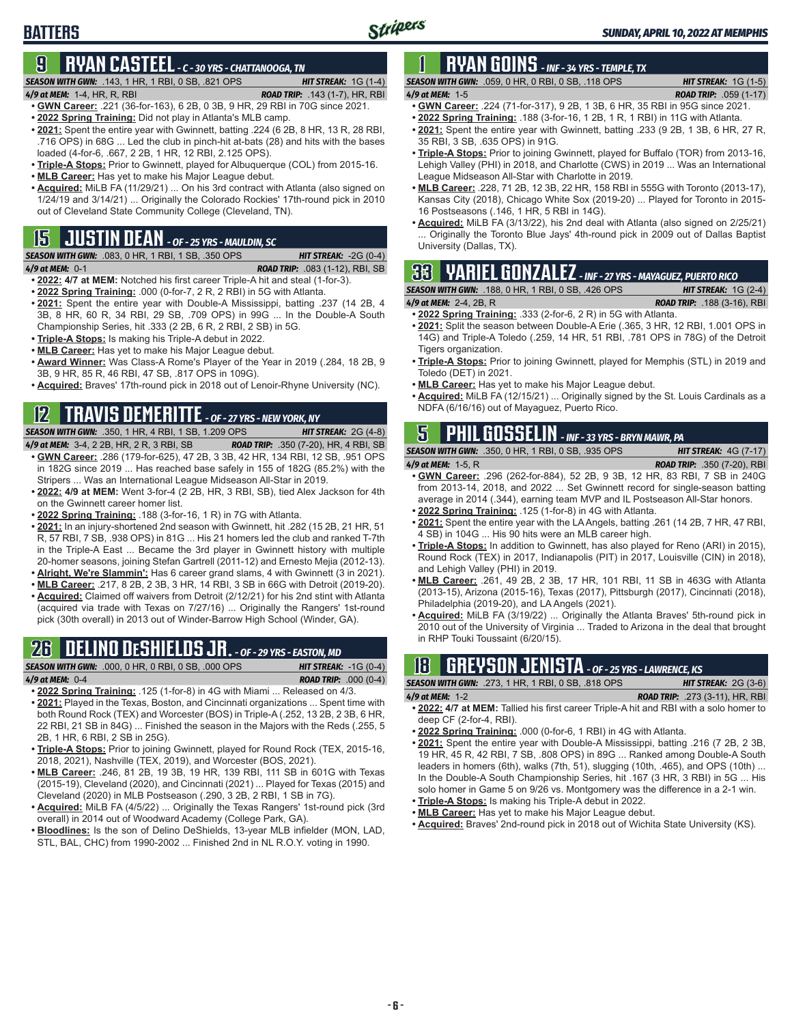## **9 RYAN CASTEEL** *- C - 30 YRS - CHATTANOOGA, TN*

#### *SEASON WITH GWN:*.143, 1 HR, 1 RBI, 0 SB, .821 OPS *HIT STREAK:* 1G (1-4)

**BATTERS**

- *4/9 at MEM:*1-4, HR, R, RBI *ROAD TRIP:* .143 (1-7), HR, RBI **• GWN Career:** .221 (36-for-163), 6 2B, 0 3B, 9 HR, 29 RBI in 70G since 2021.
- **• 2022 Spring Training:** Did not play in Atlanta's MLB camp.
- **• 2021:** Spent the entire year with Gwinnett, batting .224 (6 2B, 8 HR, 13 R, 28 RBI, .716 OPS) in 68G ... Led the club in pinch-hit at-bats (28) and hits with the bases loaded (4-for-6, .667, 2 2B, 1 HR, 12 RBI, 2.125 OPS).
- **• Triple-A Stops:** Prior to Gwinnett, played for Albuquerque (COL) from 2015-16.
- **• MLB Career:** Has yet to make his Major League debut.
- **• Acquired:** MiLB FA (11/29/21) ... On his 3rd contract with Atlanta (also signed on 1/24/19 and 3/14/21) ... Originally the Colorado Rockies' 17th-round pick in 2010 out of Cleveland State Community College (Cleveland, TN).

## **15 JUSTIN DEAN** *- OF - 25 YRS - MAULDIN, SC*

*SEASON WITH GWN:*.083, 0 HR, 1 RBI, 1 SB, .350 OPS *HIT STREAK:* -2G (0-4)

*4/9 at MEM:*0-1 *ROAD TRIP:* .083 (1-12), RBI, SB

- **• 2022: 4/7 at MEM:** Notched his first career Triple-A hit and steal (1-for-3).
- **• 2022 Spring Training:** .000 (0-for-7, 2 R, 2 RBI) in 5G with Atlanta. **• 2021:** Spent the entire year with Double-A Mississippi, batting .237 (14 2B, 4 3B, 8 HR, 60 R, 34 RBI, 29 SB, .709 OPS) in 99G ... In the Double-A South
- Championship Series, hit .333 (2 2B, 6 R, 2 RBI, 2 SB) in 5G.
- **• Triple-A Stops:** Is making his Triple-A debut in 2022.
- **• MLB Career:** Has yet to make his Major League debut.
- **• Award Winner:** Was Class-A Rome's Player of the Year in 2019 (.284, 18 2B, 9 3B, 9 HR, 85 R, 46 RBI, 47 SB, .817 OPS in 109G).
- **• Acquired:** Braves' 17th-round pick in 2018 out of Lenoir-Rhyne University (NC).

## **12 TRAVIS DEMERITTE** *- OF - 27 YRS - NEW YORK, NY*

*SEASON WITH GWN:*.350, 1 HR, 4 RBI, 1 SB, 1.209 OPS *HIT STREAK:* 2G (4-8) *4/9 at MEM:*3-4, 2 2B, HR, 2 R, 3 RBI, SB *ROAD TRIP:* .350 (7-20), HR, 4 RBI, SB

- **• GWN Career:** .286 (179-for-625), 47 2B, 3 3B, 42 HR, 134 RBI, 12 SB, .951 OPS in 182G since 2019 ... Has reached base safely in 155 of 182G (85.2%) with the Stripers ... Was an International League Midseason All-Star in 2019.
- **• 2022: 4/9 at MEM:** Went 3-for-4 (2 2B, HR, 3 RBI, SB), tied Alex Jackson for 4th on the Gwinnett career homer list.
- **• 2022 Spring Training:** .188 (3-for-16, 1 R) in 7G with Atlanta.
- **• 2021:** In an injury-shortened 2nd season with Gwinnett, hit .282 (15 2B, 21 HR, 51 R, 57 RBI, 7 SB, .938 OPS) in 81G ... His 21 homers led the club and ranked T-7th in the Triple-A East ... Became the 3rd player in Gwinnett history with multiple 20-homer seasons, joining Stefan Gartrell (2011-12) and Ernesto Mejia (2012-13).
- **• Alright, We're Slammin':** Has 6 career grand slams, 4 with Gwinnett (3 in 2021).
- **• MLB Career:** .217, 8 2B, 2 3B, 3 HR, 14 RBI, 3 SB in 66G with Detroit (2019-20).
- **• Acquired:** Claimed off waivers from Detroit (2/12/21) for his 2nd stint with Atlanta (acquired via trade with Texas on 7/27/16) ... Originally the Rangers' 1st-round pick (30th overall) in 2013 out of Winder-Barrow High School (Winder, GA).

## **26 DELINO DESHIELDS JR.** *- OF - 29 YRS - EASTON, MD*

*SEASON WITH GWN:*.000, 0 HR, 0 RBI, 0 SB, .000 OPS *HIT STREAK:* -1G (0-4) *4/9 at MEM:*0-4 *ROAD TRIP:* .000 (0-4)

- **• 2022 Spring Training:** .125 (1-for-8) in 4G with Miami ... Released on 4/3. **• 2021:** Played in the Texas, Boston, and Cincinnati organizations ... Spent time with both Round Rock (TEX) and Worcester (BOS) in Triple-A (.252, 13 2B, 2 3B, 6 HR, 22 RBI, 21 SB in 84G) ... Finished the season in the Majors with the Reds (.255, 5 2B, 1 HR, 6 RBI, 2 SB in 25G).
- **• Triple-A Stops:** Prior to joining Gwinnett, played for Round Rock (TEX, 2015-16, 2018, 2021), Nashville (TEX, 2019), and Worcester (BOS, 2021).
- **• MLB Career:** .246, 81 2B, 19 3B, 19 HR, 139 RBI, 111 SB in 601G with Texas (2015-19), Cleveland (2020), and Cincinnati (2021) ... Played for Texas (2015) and Cleveland (2020) in MLB Postseason (.290, 3 2B, 2 RBI, 1 SB in 7G).
- **• Acquired:** MiLB FA (4/5/22) ... Originally the Texas Rangers' 1st-round pick (3rd overall) in 2014 out of Woodward Academy (College Park, GA).
- **• Bloodlines:** Is the son of Delino DeShields, 13-year MLB infielder (MON, LAD, STL, BAL, CHC) from 1990-2002 ... Finished 2nd in NL R.O.Y. voting in 1990.

## **1 RYAN GOINS** *- INF - 34 YRS - TEMPLE, TX*

*SEASON WITH GWN:*.059, 0 HR, 0 RBI, 0 SB, .118 OPS *HIT STREAK:* 1G (1-5)

- *4/9 at MEM:*1-5 *ROAD TRIP:* .059 (1-17) **• GWN Career:** .224 (71-for-317), 9 2B, 1 3B, 6 HR, 35 RBI in 95G since 2021.
- **• 2022 Spring Training:** .188 (3-for-16, 1 2B, 1 R, 1 RBI) in 11G with Atlanta.
- **• 2021:** Spent the entire year with Gwinnett, batting .233 (9 2B, 1 3B, 6 HR, 27 R, 35 RBI, 3 SB, .635 OPS) in 91G.
- **• Triple-A Stops:** Prior to joining Gwinnett, played for Buffalo (TOR) from 2013-16, Lehigh Valley (PHI) in 2018, and Charlotte (CWS) in 2019 ... Was an International League Midseason All-Star with Charlotte in 2019.
- **• MLB Career:** .228, 71 2B, 12 3B, 22 HR, 158 RBI in 555G with Toronto (2013-17), Kansas City (2018), Chicago White Sox (2019-20) ... Played for Toronto in 2015- 16 Postseasons (.146, 1 HR, 5 RBI in 14G).
- **• Acquired:** MiLB FA (3/13/22), his 2nd deal with Atlanta (also signed on 2/25/21) Originally the Toronto Blue Jays' 4th-round pick in 2009 out of Dallas Baptist University (Dallas, TX).

## **33 YARIEL GONZALEZ** *- INF - 27 YRS - MAYAGUEZ, PUERTO RICO*

*SEASON WITH GWN:*.188, 0 HR, 1 RBI, 0 SB, .426 OPS *HIT STREAK:* 1G (2-4)

- *4/9 at MEM:*2-4, 2B, R *ROAD TRIP:* .188 (3-16), RBI
- **• 2022 Spring Training:** .333 (2-for-6, 2 R) in 5G with Atlanta. **• 2021:** Split the season between Double-A Erie (.365, 3 HR, 12 RBI, 1.001 OPS in 14G) and Triple-A Toledo (.259, 14 HR, 51 RBI, .781 OPS in 78G) of the Detroit Tigers organization.
- **• Triple-A Stops:** Prior to joining Gwinnett, played for Memphis (STL) in 2019 and Toledo (DET) in 2021.
- **• MLB Career:** Has yet to make his Major League debut.
- **• Acquired:** MiLB FA (12/15/21) ... Originally signed by the St. Louis Cardinals as a NDFA (6/16/16) out of Mayaguez, Puerto Rico.

## **5 PHIL GOSSELIN** *- INF - 33 YRS - BRYN MAWR, PA*

*SEASON WITH GWN:*.350, 0 HR, 1 RBI, 0 SB, .935 OPS *HIT STREAK:* 4G (7-17)

- *4/9 at MEM:*1-5, R *ROAD TRIP:* .350 (7-20), RBI **• GWN Career:** .296 (262-for-884), 52 2B, 9 3B, 12 HR, 83 RBI, 7 SB in 240G from 2013-14, 2018, and 2022 ... Set Gwinnett record for single-season batting average in 2014 (.344), earning team MVP and IL Postseason All-Star honors.
- **• 2022 Spring Training:** .125 (1-for-8) in 4G with Atlanta.
- **• 2021:** Spent the entire year with the LA Angels, batting .261 (14 2B, 7 HR, 47 RBI, 4 SB) in 104G ... His 90 hits were an MLB career high.
- **• Triple-A Stops:** In addition to Gwinnett, has also played for Reno (ARI) in 2015), Round Rock (TEX) in 2017, Indianapolis (PIT) in 2017, Louisville (CIN) in 2018), and Lehigh Valley (PHI) in 2019.
- **• MLB Career:** .261, 49 2B, 2 3B, 17 HR, 101 RBI, 11 SB in 463G with Atlanta (2013-15), Arizona (2015-16), Texas (2017), Pittsburgh (2017), Cincinnati (2018), Philadelphia (2019-20), and LA Angels (2021).
- **• Acquired:** MiLB FA (3/19/22) ... Originally the Atlanta Braves' 5th-round pick in 2010 out of the University of Virginia ... Traded to Arizona in the deal that brought in RHP Touki Toussaint (6/20/15).

|  |                                                           | <b>18 GREYSON JENISTA</b> - OF - 25 YRS - LAWRENCE, KS |  |
|--|-----------------------------------------------------------|--------------------------------------------------------|--|
|  | <b>SEASON WITH GWN:</b> .273. 1 HR. 1 RBI. 0 SB. .818 OPS | <b>HIT STREAK:</b> $2G(3-6)$                           |  |

- *4/9 at MEM:*1-2 *ROAD TRIP:* .273 (3-11), HR, RBI **• 2022: 4/7 at MEM:** Tallied his first career Triple-A hit and RBI with a solo homer to deep CF (2-for-4, RBI).
- **• 2022 Spring Training:** .000 (0-for-6, 1 RBI) in 4G with Atlanta.
- **• 2021:** Spent the entire year with Double-A Mississippi, batting .216 (7 2B, 2 3B, 19 HR, 45 R, 42 RBI, 7 SB, .808 OPS) in 89G ... Ranked among Double-A South leaders in homers (6th), walks (7th, 51), slugging (10th, .465), and OPS (10th) ... In the Double-A South Championship Series, hit .167 (3 HR, 3 RBI) in 5G ... His solo homer in Game 5 on 9/26 vs. Montgomery was the difference in a 2-1 win.
- **• Triple-A Stops:** Is making his Triple-A debut in 2022.
- **• MLB Career:** Has yet to make his Major League debut.
- **• Acquired:** Braves' 2nd-round pick in 2018 out of Wichita State University (KS).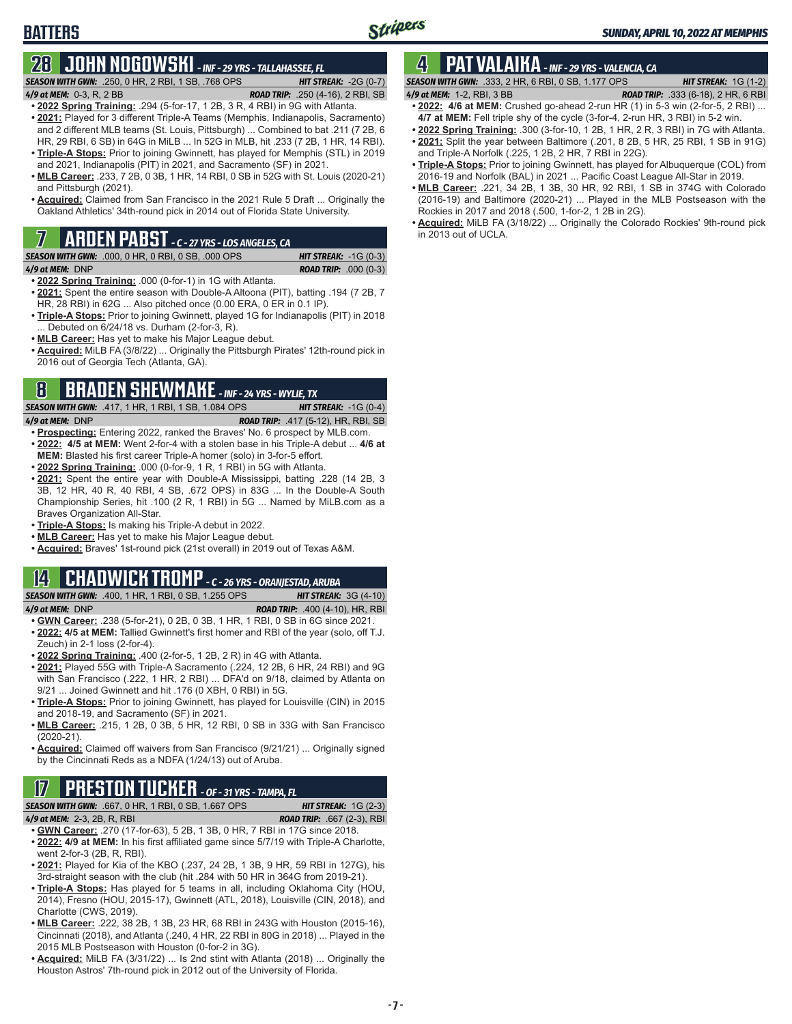# **BATTERS**

## **28 JOHN NOGOWSKI** *- INF - 29 YRS - TALLAHASSEE, FL*

*SEASON WITH GWN:*.250, 0 HR, 2 RBI, 1 SB, .768 OPS *HIT STREAK:* -2G (0-7)

*4/9 at MEM:*0-3, R, 2 BB *ROAD TRIP:* .250 (4-16), 2 RBI, SB

- **• 2022 Spring Training:** .294 (5-for-17, 1 2B, 3 R, 4 RBI) in 9G with Atlanta.
- **• 2021:** Played for 3 different Triple-A Teams (Memphis, Indianapolis, Sacramento) and 2 different MLB teams (St. Louis, Pittsburgh) ... Combined to bat .211 (7 2B, 6 HR, 29 RBI, 6 SB) in 64G in MiLB ... In 52G in MLB, hit .233 (7 2B, 1 HR, 14 RBI). **• Triple-A Stops:** Prior to joining Gwinnett, has played for Memphis (STL) in 2019
- and 2021, Indianapolis (PIT) in 2021, and Sacramento (SF) in 2021. **• MLB Career:** .233, 7 2B, 0 3B, 1 HR, 14 RBI, 0 SB in 52G with St. Louis (2020-21)
- and Pittsburgh (2021).
- **• Acquired:** Claimed from San Francisco in the 2021 Rule 5 Draft ... Originally the Oakland Athletics' 34th-round pick in 2014 out of Florida State University.

## **7 ARDEN PABST** *- C - 27 YRS - LOS ANGELES, CA*

*SEASON WITH GWN:*.000, 0 HR, 0 RBI, 0 SB, .000 OPS *HIT STREAK:* -1G (0-3)

*4/9 at MEM:*DNP *ROAD TRIP:* .000 (0-3)

- **• 2022 Spring Training:** .000 (0-for-1) in 1G with Atlanta.
- **• 2021:** Spent the entire season with Double-A Altoona (PIT), batting .194 (7 2B, 7 HR, 28 RBI) in 62G ... Also pitched once (0.00 ERA, 0 ER in 0.1 IP).
- **• Triple-A Stops:** Prior to joining Gwinnett, played 1G for Indianapolis (PIT) in 2018 ... Debuted on 6/24/18 vs. Durham (2-for-3, R).
- **• MLB Career:** Has yet to make his Major League debut.
- **• Acquired:** MiLB FA (3/8/22) ... Originally the Pittsburgh Pirates' 12th-round pick in 2016 out of Georgia Tech (Atlanta, GA).

## **8 BRADEN SHEWMAKE** *- INF - 24 YRS - WYLIE, TX*

*SEASON WITH GWN:*.417, 1 HR, 1 RBI, 1 SB, 1.084 OPS *HIT STREAK:* -1G (0-4)

- *4/9 at MEM:*DNP *ROAD TRIP:* .417 (5-12), HR, RBI, SB
- **• Prospecting:** Entering 2022, ranked the Braves' No. 6 prospect by MLB.com. **• 2022: 4/5 at MEM:** Went 2-for-4 with a stolen base in his Triple-A debut ... **4/6 at MEM:** Blasted his first career Triple-A homer (solo) in 3-for-5 effort.
- **• 2022 Spring Training:** .000 (0-for-9, 1 R, 1 RBI) in 5G with Atlanta.
- **• 2021:** Spent the entire year with Double-A Mississippi, batting .228 (14 2B, 3 3B, 12 HR, 40 R, 40 RBI, 4 SB, .672 OPS) in 83G ... In the Double-A South Championship Series, hit .100 (2 R, 1 RBI) in 5G ... Named by MiLB.com as a Braves Organization All-Star.
- **• Triple-A Stops:** Is making his Triple-A debut in 2022.
- **• MLB Career:** Has yet to make his Major League debut.
- **• Acquired:** Braves' 1st-round pick (21st overall) in 2019 out of Texas A&M.

#### **14 CHADWICK TROMP** *- C - 26 YRS - ORANJESTAD, ARUBA*

*SEASON WITH GWN:*.400, 1 HR, 1 RBI, 0 SB, 1.255 OPS *HIT STREAK:* 3G (4-10) *4/9 at MEM:*DNP *ROAD TRIP:* .400 (4-10), HR, RBI

- **• GWN Career:** .238 (5-for-21), 0 2B, 0 3B, 1 HR, 1 RBI, 0 SB in 6G since 2021. **• 2022: 4/5 at MEM:** Tallied Gwinnett's first homer and RBI of the year (solo, off T.J. Zeuch) in 2-1 loss (2-for-4).
- **• 2022 Spring Training:** .400 (2-for-5, 1 2B, 2 R) in 4G with Atlanta.
- **• 2021:** Played 55G with Triple-A Sacramento (.224, 12 2B, 6 HR, 24 RBI) and 9G with San Francisco (.222, 1 HR, 2 RBI) ... DFA'd on 9/18, claimed by Atlanta on 9/21 ... Joined Gwinnett and hit .176 (0 XBH, 0 RBI) in 5G.
- **• Triple-A Stops:** Prior to joining Gwinnett, has played for Louisville (CIN) in 2015 and 2018-19, and Sacramento (SF) in 2021.
- **• MLB Career:** .215, 1 2B, 0 3B, 5 HR, 12 RBI, 0 SB in 33G with San Francisco (2020-21).
- **• Acquired:** Claimed off waivers from San Francisco (9/21/21) ... Originally signed by the Cincinnati Reds as a NDFA (1/24/13) out of Aruba.

## **17 PRESTON TUCKER** *- OF - 31 YRS - TAMPA, FL*

*SEASON WITH GWN:*.667, 0 HR, 1 RBI, 0 SB, 1.667 OPS *HIT STREAK:* 1G (2-3)

*4/9 at MEM:*2-3, 2B, R, RBI *ROAD TRIP:* .667 (2-3), RBI

- **• GWN Career:** .270 (17-for-63), 5 2B, 1 3B, 0 HR, 7 RBI in 17G since 2018. **• 2022: 4/9 at MEM:** In his first affiliated game since 5/7/19 with Triple-A Charlotte, went 2-for-3 (2B, R, RBI).
- **• 2021:** Played for Kia of the KBO (.237, 24 2B, 1 3B, 9 HR, 59 RBI in 127G), his 3rd-straight season with the club (hit .284 with 50 HR in 364G from 2019-21).
- **• Triple-A Stops:** Has played for 5 teams in all, including Oklahoma City (HOU, 2014), Fresno (HOU, 2015-17), Gwinnett (ATL, 2018), Louisville (CIN, 2018), and Charlotte (CWS, 2019).
- **• MLB Career:** .222, 38 2B, 1 3B, 23 HR, 68 RBI in 243G with Houston (2015-16), Cincinnati (2018), and Atlanta (.240, 4 HR, 22 RBI in 80G in 2018) ... Played in the 2015 MLB Postseason with Houston (0-for-2 in 3G).
- **• Acquired:** MiLB FA (3/31/22) ... Is 2nd stint with Atlanta (2018) ... Originally the Houston Astros' 7th-round pick in 2012 out of the University of Florida.

## **4 PAT VALAIKA** *- INF - 29 YRS - VALENCIA, CA*

- *SEASON WITH GWN:*.333, 2 HR, 6 RBI, 0 SB, 1.177 OPS *HIT STREAK:* 1G (1-2) *4/9 at MEM:*1-2, RBI, 3 BB *ROAD TRIP:* .333 (6-18), 2 HR, 6 RBI **• 2022: 4/6 at MEM:** Crushed go-ahead 2-run HR (1) in 5-3 win (2-for-5, 2 RBI) ...
- **4/7 at MEM:** Fell triple shy of the cycle (3-for-4, 2-run HR, 3 RBI) in 5-2 win.
- **• 2022 Spring Training:** .300 (3-for-10, 1 2B, 1 HR, 2 R, 3 RBI) in 7G with Atlanta.
- **• 2021:** Split the year between Baltimore (.201, 8 2B, 5 HR, 25 RBI, 1 SB in 91G) and Triple-A Norfolk (.225, 1 2B, 2 HR, 7 RBI in 22G).
- **• Triple-A Stops:** Prior to joining Gwinnett, has played for Albuquerque (COL) from 2016-19 and Norfolk (BAL) in 2021 ... Pacific Coast League All-Star in 2019.
- **• MLB Career:** .221, 34 2B, 1 3B, 30 HR, 92 RBI, 1 SB in 374G with Colorado (2016-19) and Baltimore (2020-21) ... Played in the MLB Postseason with the Rockies in 2017 and 2018 (.500, 1-for-2, 1 2B in 2G).
- **• Acquired:** MiLB FA (3/18/22) ... Originally the Colorado Rockies' 9th-round pick in 2013 out of UCLA.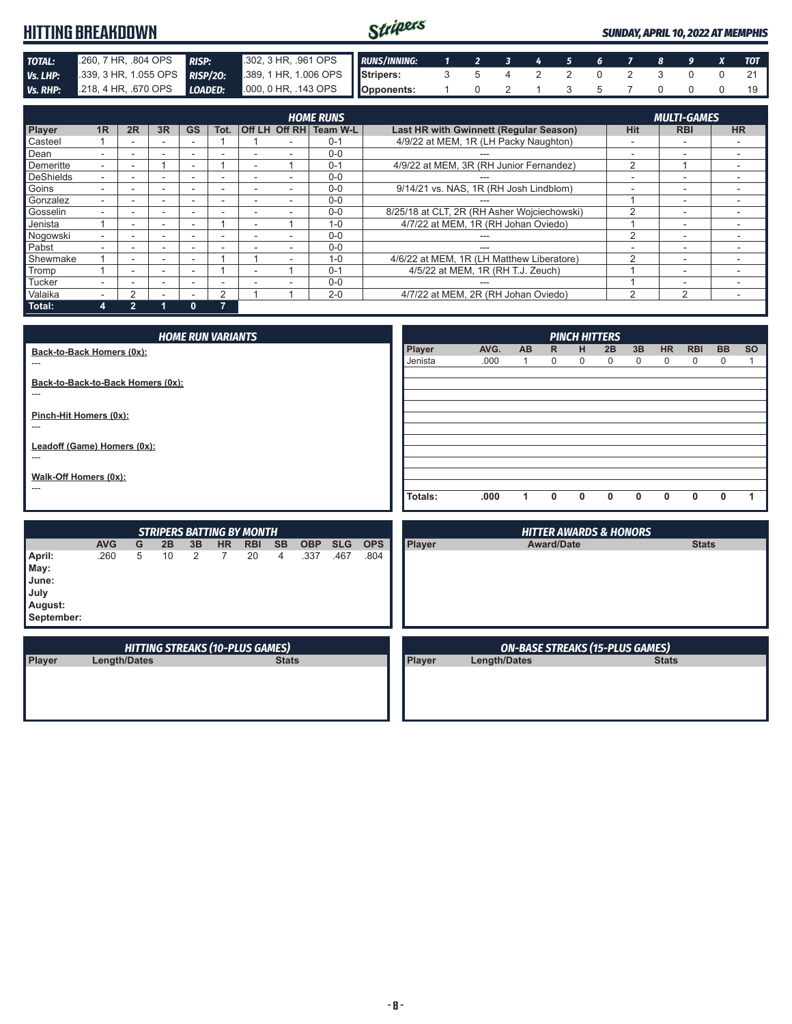#### Stripers **HITTING BREAKDOWN** *SUNDAY, APRIL 10, 2022 AT MEMPHIS* **TOTAL:** .260, 7 HR, .804 OPS *RISP:* .302, 3 HR, .961 OPS **Vs. LHP:** .339, 3 HR, 1.055 OPS *RISP/20:* .389, 1 HR, 1.006 OPS *RUNS/INNING: 1 2 3 4 5 6 7 8 9 X TOT RISP*/20: *Assembs* **Bids RISP/20: Stripers:** 3 5 4 2 2 0 2 3 0 0 21 *Vs. RHP:* .218, 4 HR, .670 OPS *LOADED:* .000, 0 HR, .143 OPS **Opponents:** 1 0 2 1 3 5 7 0 0 0 19

|                  | <b>MULTI-GAMES</b><br><b>HOME RUNS</b> |    |                          |           |                          |  |  |                        |                                             |                |                          |           |
|------------------|----------------------------------------|----|--------------------------|-----------|--------------------------|--|--|------------------------|---------------------------------------------|----------------|--------------------------|-----------|
| Player           | 1R                                     | 2R | 3R                       | <b>GS</b> | Tot.                     |  |  | Off LH Off RH Team W-L | Last HR with Gwinnett (Regular Season)      | <b>Hit</b>     | <b>RBI</b>               | <b>HR</b> |
| Casteel          |                                        |    |                          |           |                          |  |  | $0 - 1$                | 4/9/22 at MEM, 1R (LH Packy Naughton)       | -              | -                        |           |
| Dean             |                                        |    |                          |           |                          |  |  | $0 - 0$                |                                             |                |                          |           |
| Demeritte        |                                        |    |                          |           |                          |  |  | $0 - 1$                | 4/9/22 at MEM, 3R (RH Junior Fernandez)     | $\overline{2}$ |                          |           |
| <b>DeShields</b> |                                        |    |                          | -         |                          |  |  | $0 - 0$                |                                             |                | -                        |           |
| Goins            |                                        | -  |                          | -         | -                        |  |  | $0 - 0$                | 9/14/21 vs. NAS, 1R (RH Josh Lindblom)      | -              | -                        |           |
| Gonzalez         |                                        |    |                          |           | -                        |  |  | $0 - 0$                |                                             |                | -                        |           |
| Gosselin         |                                        |    | ۰                        |           | -                        |  |  | $0 - 0$                | 8/25/18 at CLT, 2R (RH Asher Wojciechowski) | っ              | $\overline{\phantom{a}}$ |           |
| Jenista          |                                        |    | ۰                        | ۰         |                          |  |  | $1 - 0$                | 4/7/22 at MEM, 1R (RH Johan Oviedo)         |                | $\overline{\phantom{a}}$ |           |
| Nogowski         |                                        |    |                          |           |                          |  |  | $0 - 0$                |                                             | っ              |                          |           |
| Pabst            |                                        |    | $\overline{\phantom{0}}$ | -         | -                        |  |  | $0 - 0$                | ---                                         |                | $\overline{\phantom{0}}$ |           |
| Shewmake         |                                        |    | -                        | $\sim$    |                          |  |  | $1 - 0$                | 4/6/22 at MEM, 1R (LH Matthew Liberatore)   | $\mathfrak{p}$ | $\overline{\phantom{0}}$ |           |
| Tromp            |                                        |    |                          | ۰         |                          |  |  | $0 - 1$                | 4/5/22 at MEM, 1R (RH T.J. Zeuch)           |                | -                        |           |
| <b>Tucker</b>    |                                        |    |                          |           |                          |  |  | $0 - 0$                |                                             |                | -                        |           |
| Valaika          |                                        |    |                          |           | 2                        |  |  | $2 - 0$                | 4/7/22 at MEM, 2R (RH Johan Oviedo)         | $\mathcal{P}$  | $\mathfrak{p}$           |           |
| Total:           |                                        | h  |                          | 0         | $\overline{\phantom{a}}$ |  |  |                        |                                             |                |                          |           |

| <b>HOME RUN VARIANTS</b>          |         |      |     |             |              | <b>PINCH HITTERS</b> |    |           |              |           |           |
|-----------------------------------|---------|------|-----|-------------|--------------|----------------------|----|-----------|--------------|-----------|-----------|
| Back-to-Back Homers (0x):         | Player  | AVG. | AB. | R.          | H            | 2B                   | 3B | <b>HR</b> | <b>RBI</b>   | <b>BB</b> | <b>SO</b> |
| ---                               | Jenista | .000 | 1   | $\mathbf 0$ | 0            | $\Omega$             | 0  | $\Omega$  | 0            | 0         |           |
| Back-to-Back-to-Back Homers (0x): |         |      |     |             |              |                      |    |           |              |           |           |
| ---                               |         |      |     |             |              |                      |    |           |              |           |           |
| Pinch-Hit Homers (0x):            |         |      |     |             |              |                      |    |           |              |           |           |
| ---                               |         |      |     |             |              |                      |    |           |              |           |           |
| Leadoff (Game) Homers (0x):       |         |      |     |             |              |                      |    |           |              |           |           |
| ---                               |         |      |     |             |              |                      |    |           |              |           |           |
|                                   |         |      |     |             |              |                      |    |           |              |           |           |
| Walk-Off Homers (0x):             |         |      |     |             |              |                      |    |           |              |           |           |
| ---                               | Totals: | .000 | 1   | 0           | $\mathbf{0}$ | 0                    | 0  | $\Omega$  | $\mathbf{0}$ | 0         |           |
|                                   |         |      |     |             |              |                      |    |           |              |           |           |

| <b>STRIPERS BATTING BY MONTH</b>           |                     |   |    |    |           |                                        |              |            |            |            | <b>HITTER AWARDS &amp; HONORS</b> |                                        |              |
|--------------------------------------------|---------------------|---|----|----|-----------|----------------------------------------|--------------|------------|------------|------------|-----------------------------------|----------------------------------------|--------------|
|                                            | <b>AVG</b>          | G | 2B | 3B | <b>HR</b> | <b>RBI</b>                             | <b>SB</b>    | <b>OBP</b> | <b>SLG</b> | <b>OPS</b> | <b>Player</b>                     | <b>Award/Date</b>                      | <b>Stats</b> |
| April:<br>May:<br>June:<br>July<br>August: | .260                | 5 | 10 | 2  |           | 20                                     | 4            | .337       | .467       | .804       |                                   |                                        |              |
| September:                                 |                     |   |    |    |           | <b>HITTING STREAKS (10-PLUS GAMES)</b> |              |            |            |            |                                   | <b>ON-BASE STREAKS (15-PLUS GAMES)</b> |              |
| Player                                     | <b>Length/Dates</b> |   |    |    |           |                                        | <b>Stats</b> |            |            |            | Player                            | <b>Length/Dates</b>                    | <b>Stats</b> |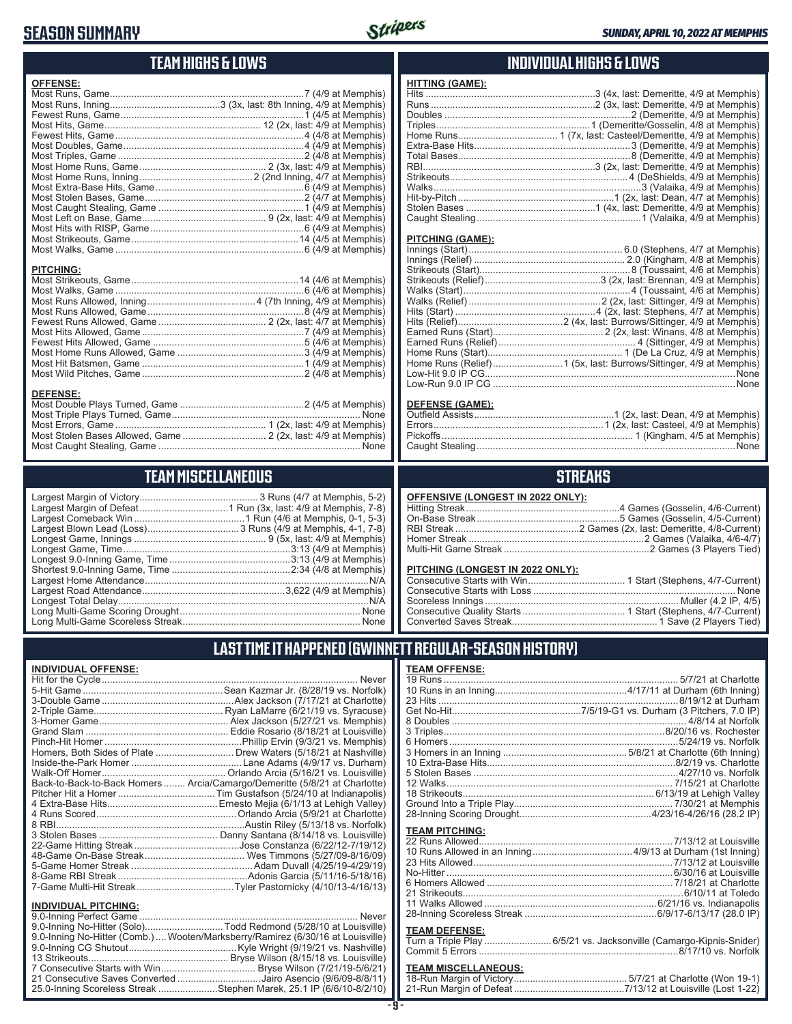## **SEASON SUMMARY**



## **TEAM HIGHS & LOWS**

| <b>OFFENSE:</b>  |
|------------------|
|                  |
|                  |
|                  |
|                  |
|                  |
|                  |
|                  |
|                  |
|                  |
|                  |
|                  |
|                  |
|                  |
|                  |
|                  |
|                  |
|                  |
| <b>PITCHING:</b> |
|                  |
|                  |
|                  |
|                  |
|                  |
|                  |
|                  |
|                  |
|                  |
|                  |
|                  |
| <b>DEFENSE:</b>  |
|                  |
|                  |
|                  |

### **TEAM MISCELLANEOUS**

Most Caught Stealing, Game ........................................................................... None

### **INDIVIDUAL HIGHS & LOWS**

| <b>HITTING (GAME):</b> |  |
|------------------------|--|
|                        |  |
|                        |  |
|                        |  |
|                        |  |
|                        |  |
|                        |  |
|                        |  |
|                        |  |
|                        |  |
|                        |  |
|                        |  |
|                        |  |
|                        |  |

#### **PITCHING (GAME):**

| None |
|------|
|      |
|      |

#### **DEFENSE (GAME):**

## **STREAKS**

| OFFENSIVE (LONGEST IN 2022 ONLY): |  |  |
|-----------------------------------|--|--|
|-----------------------------------|--|--|

#### **PITCHING (LONGEST IN 2022 ONLY):**

## **LAST TIME IT HAPPENED (GWINNETT REGULAR-SEASON HISTORY)**

#### **INDIVIDUAL OFFENSE:**

|                             | Never                                                                      |
|-----------------------------|----------------------------------------------------------------------------|
|                             |                                                                            |
|                             |                                                                            |
|                             |                                                                            |
|                             |                                                                            |
|                             |                                                                            |
|                             |                                                                            |
|                             | Homers, Both Sides of Plate Drew Waters (5/18/21 at Nashville)             |
|                             |                                                                            |
|                             |                                                                            |
|                             | Back-to-Back-to-Back Homers  Arcia/Camargo/Demeritte (5/8/21 at Charlotte) |
|                             |                                                                            |
|                             |                                                                            |
|                             |                                                                            |
|                             |                                                                            |
|                             |                                                                            |
|                             |                                                                            |
|                             |                                                                            |
|                             |                                                                            |
|                             |                                                                            |
|                             |                                                                            |
| <b>INDIVIDUAL PITCHING:</b> |                                                                            |
|                             |                                                                            |

| 9.0-Inning No-Hitter (Comb.)  Wooten/Marksberry/Ramirez (6/30/16 at Louisville) |  |
|---------------------------------------------------------------------------------|--|
|                                                                                 |  |
|                                                                                 |  |
|                                                                                 |  |
| 21 Consecutive Saves Converted Jairo Asencio (9/6/09-8/8/11)                    |  |
| 25.0-Inning Scoreless Streak Stephen Marek, 25.1 IP (6/6/10-8/2/10)             |  |
|                                                                                 |  |

#### **- 9 -**

| No-Hitter …………………………………………………………………………………6/30/16 at Louisville |  |
|----------------------------------------------------------------|--|
|                                                                |  |
|                                                                |  |
|                                                                |  |
|                                                                |  |
|                                                                |  |

#### **TEAM DEFENSE:**

| Turn a Triple Play 6/5/21 vs. Jacksonville (Camargo-Kipnis-Snider) |
|--------------------------------------------------------------------|
|                                                                    |

| <b>TEAM MISCELLANEOUS:</b> |  |
|----------------------------|--|
|                            |  |
|                            |  |